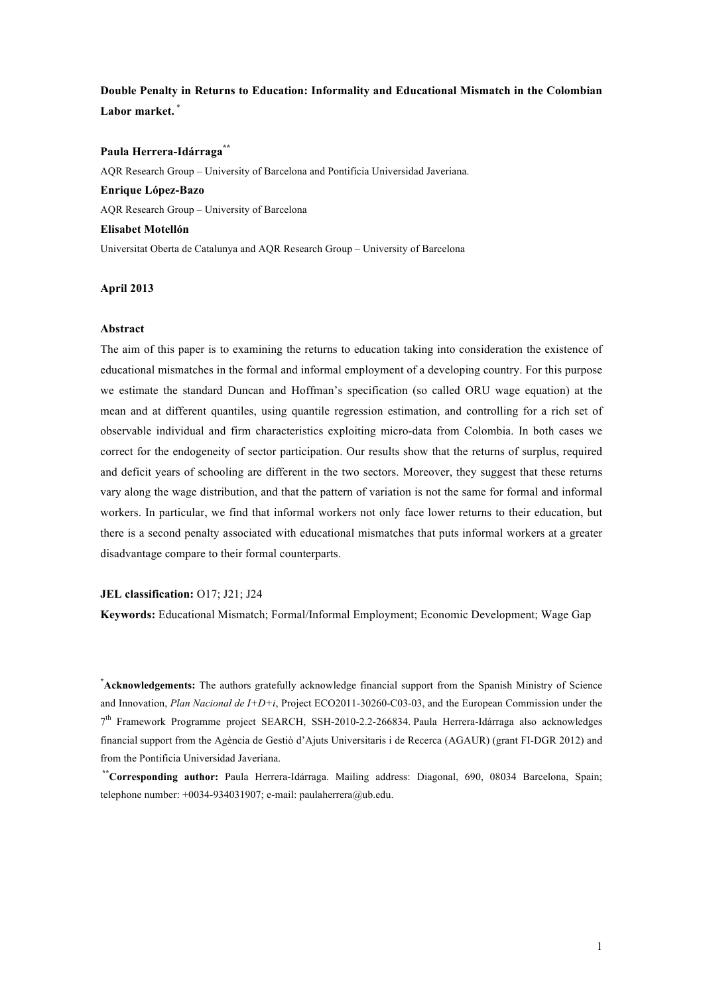**Double Penalty in Returns to Education: Informality and Educational Mismatch in the Colombian Labor market. \***

#### **Paula Herrera-Idárraga\*\***

AQR Research Group – University of Barcelona and Pontificia Universidad Javeriana. **Enrique López-Bazo** AQR Research Group – University of Barcelona **Elisabet Motellón** Universitat Oberta de Catalunya and AQR Research Group – University of Barcelona

### **April 2013**

#### **Abstract**

The aim of this paper is to examining the returns to education taking into consideration the existence of educational mismatches in the formal and informal employment of a developing country. For this purpose we estimate the standard Duncan and Hoffman's specification (so called ORU wage equation) at the mean and at different quantiles, using quantile regression estimation, and controlling for a rich set of observable individual and firm characteristics exploiting micro-data from Colombia. In both cases we correct for the endogeneity of sector participation. Our results show that the returns of surplus, required and deficit years of schooling are different in the two sectors. Moreover, they suggest that these returns vary along the wage distribution, and that the pattern of variation is not the same for formal and informal workers. In particular, we find that informal workers not only face lower returns to their education, but there is a second penalty associated with educational mismatches that puts informal workers at a greater disadvantage compare to their formal counterparts.

#### **JEL classification:** O17; J21; J24

**Keywords:** Educational Mismatch; Formal/Informal Employment; Economic Development; Wage Gap

**\* Acknowledgements:** The authors gratefully acknowledge financial support from the Spanish Ministry of Science and Innovation, *Plan Nacional de I+D+i*, Project ECO2011-30260-C03-03, and the European Commission under the 7th Framework Programme project SEARCH, SSH-2010-2.2-266834. Paula Herrera-Idárraga also acknowledges financial support from the Agència de Gestiò d'Ajuts Universitaris i de Recerca (AGAUR) (grant FI-DGR 2012) and from the Pontificia Universidad Javeriana.

**\*\*Corresponding author:** Paula Herrera-Idárraga. Mailing address: Diagonal, 690, 08034 Barcelona, Spain; telephone number:  $+0034-934031907$ ; e-mail: paulaherrera@ub.edu.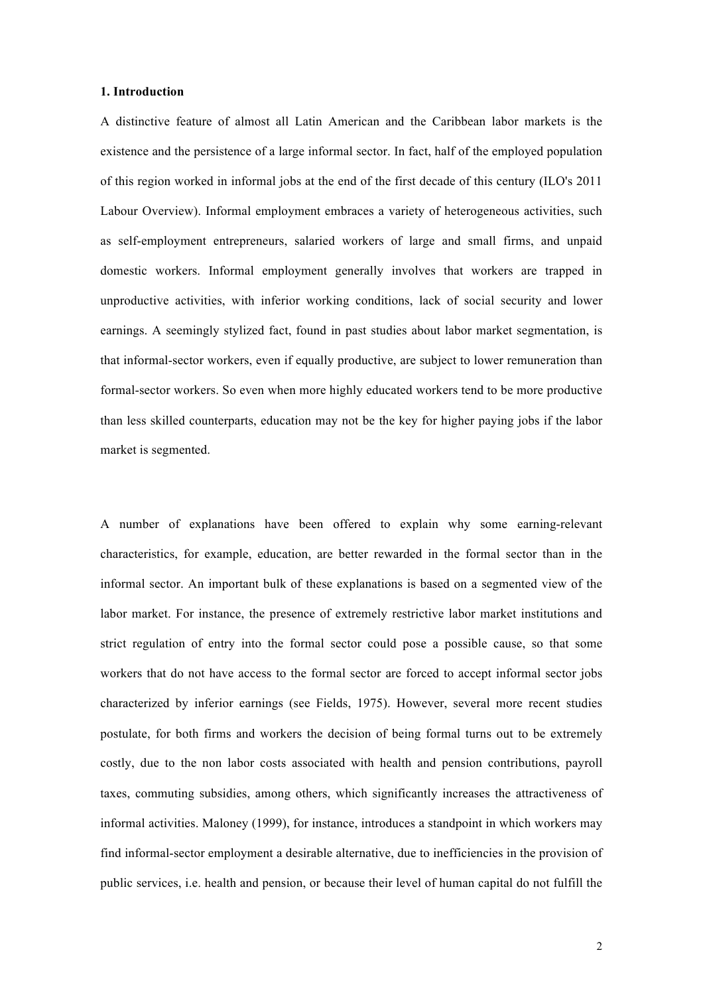# **1. Introduction**

A distinctive feature of almost all Latin American and the Caribbean labor markets is the existence and the persistence of a large informal sector. In fact, half of the employed population of this region worked in informal jobs at the end of the first decade of this century (ILO's 2011 Labour Overview). Informal employment embraces a variety of heterogeneous activities, such as self-employment entrepreneurs, salaried workers of large and small firms, and unpaid domestic workers. Informal employment generally involves that workers are trapped in unproductive activities, with inferior working conditions, lack of social security and lower earnings. A seemingly stylized fact, found in past studies about labor market segmentation, is that informal-sector workers, even if equally productive, are subject to lower remuneration than formal-sector workers. So even when more highly educated workers tend to be more productive than less skilled counterparts, education may not be the key for higher paying jobs if the labor market is segmented.

A number of explanations have been offered to explain why some earning-relevant characteristics, for example, education, are better rewarded in the formal sector than in the informal sector. An important bulk of these explanations is based on a segmented view of the labor market. For instance, the presence of extremely restrictive labor market institutions and strict regulation of entry into the formal sector could pose a possible cause, so that some workers that do not have access to the formal sector are forced to accept informal sector jobs characterized by inferior earnings (see Fields, 1975). However, several more recent studies postulate, for both firms and workers the decision of being formal turns out to be extremely costly, due to the non labor costs associated with health and pension contributions, payroll taxes, commuting subsidies, among others, which significantly increases the attractiveness of informal activities. Maloney (1999), for instance, introduces a standpoint in which workers may find informal-sector employment a desirable alternative, due to inefficiencies in the provision of public services, i.e. health and pension, or because their level of human capital do not fulfill the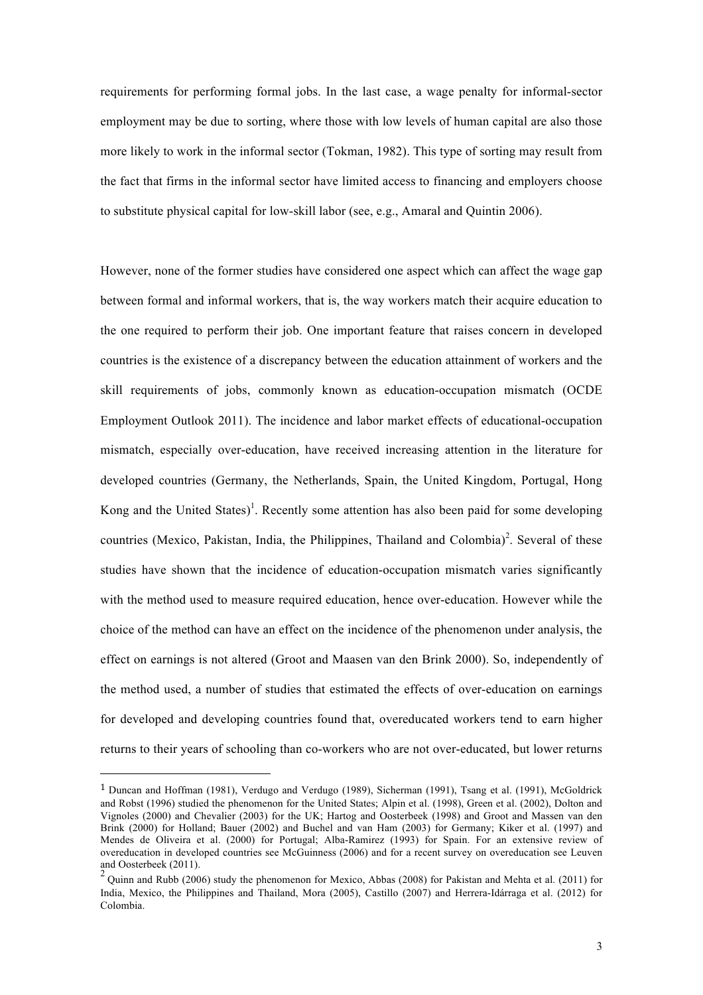requirements for performing formal jobs. In the last case, a wage penalty for informal-sector employment may be due to sorting, where those with low levels of human capital are also those more likely to work in the informal sector (Tokman, 1982). This type of sorting may result from the fact that firms in the informal sector have limited access to financing and employers choose to substitute physical capital for low-skill labor (see, e.g., Amaral and Quintin 2006).

However, none of the former studies have considered one aspect which can affect the wage gap between formal and informal workers, that is, the way workers match their acquire education to the one required to perform their job. One important feature that raises concern in developed countries is the existence of a discrepancy between the education attainment of workers and the skill requirements of jobs, commonly known as education-occupation mismatch (OCDE Employment Outlook 2011). The incidence and labor market effects of educational-occupation mismatch, especially over-education, have received increasing attention in the literature for developed countries (Germany, the Netherlands, Spain, the United Kingdom, Portugal, Hong Kong and the United States)<sup>1</sup>. Recently some attention has also been paid for some developing countries (Mexico, Pakistan, India, the Philippines, Thailand and Colombia)<sup>2</sup>. Several of these studies have shown that the incidence of education-occupation mismatch varies significantly with the method used to measure required education, hence over-education. However while the choice of the method can have an effect on the incidence of the phenomenon under analysis, the effect on earnings is not altered (Groot and Maasen van den Brink 2000). So, independently of the method used, a number of studies that estimated the effects of over-education on earnings for developed and developing countries found that, overeducated workers tend to earn higher returns to their years of schooling than co-workers who are not over-educated, but lower returns

 

<sup>1</sup> Duncan and Hoffman (1981), Verdugo and Verdugo (1989), Sicherman (1991), Tsang et al. (1991), McGoldrick and Robst (1996) studied the phenomenon for the United States; Alpin et al. (1998), Green et al. (2002), Dolton and Vignoles (2000) and Chevalier (2003) for the UK; Hartog and Oosterbeek (1998) and Groot and Massen van den Brink (2000) for Holland; Bauer (2002) and Buchel and van Ham (2003) for Germany; Kiker et al. (1997) and Mendes de Oliveira et al. (2000) for Portugal; Alba-Ramirez (1993) for Spain. For an extensive review of overeducation in developed countries see McGuinness (2006) and for a recent survey on overeducation see Leuven and Oosterbeek (2011).

 $2$  Ouinn and Rubb (2006) study the phenomenon for Mexico, Abbas (2008) for Pakistan and Mehta et al. (2011) for India, Mexico, the Philippines and Thailand, Mora (2005), Castillo (2007) and Herrera-Idárraga et al. (2012) for Colombia.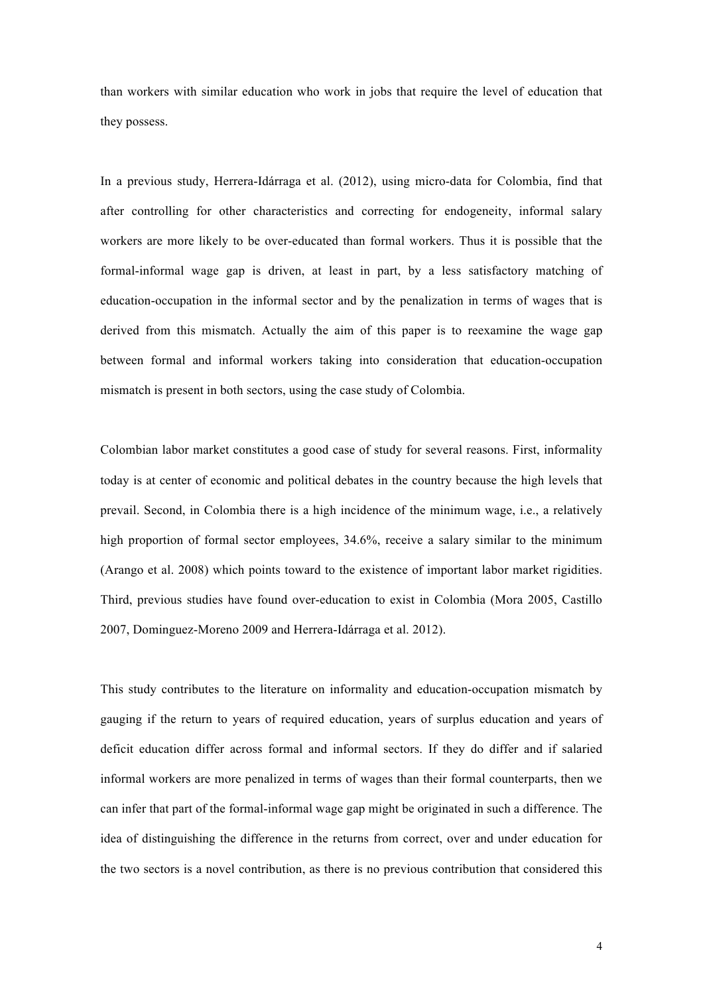than workers with similar education who work in jobs that require the level of education that they possess.

In a previous study, Herrera-Idárraga et al. (2012), using micro-data for Colombia, find that after controlling for other characteristics and correcting for endogeneity, informal salary workers are more likely to be over-educated than formal workers. Thus it is possible that the formal-informal wage gap is driven, at least in part, by a less satisfactory matching of education-occupation in the informal sector and by the penalization in terms of wages that is derived from this mismatch. Actually the aim of this paper is to reexamine the wage gap between formal and informal workers taking into consideration that education-occupation mismatch is present in both sectors, using the case study of Colombia.

Colombian labor market constitutes a good case of study for several reasons. First, informality today is at center of economic and political debates in the country because the high levels that prevail. Second, in Colombia there is a high incidence of the minimum wage, i.e., a relatively high proportion of formal sector employees, 34.6%, receive a salary similar to the minimum (Arango et al. 2008) which points toward to the existence of important labor market rigidities. Third, previous studies have found over-education to exist in Colombia (Mora 2005, Castillo 2007, Dominguez-Moreno 2009 and Herrera-Idárraga et al. 2012).

This study contributes to the literature on informality and education-occupation mismatch by gauging if the return to years of required education, years of surplus education and years of deficit education differ across formal and informal sectors. If they do differ and if salaried informal workers are more penalized in terms of wages than their formal counterparts, then we can infer that part of the formal-informal wage gap might be originated in such a difference. The idea of distinguishing the difference in the returns from correct, over and under education for the two sectors is a novel contribution, as there is no previous contribution that considered this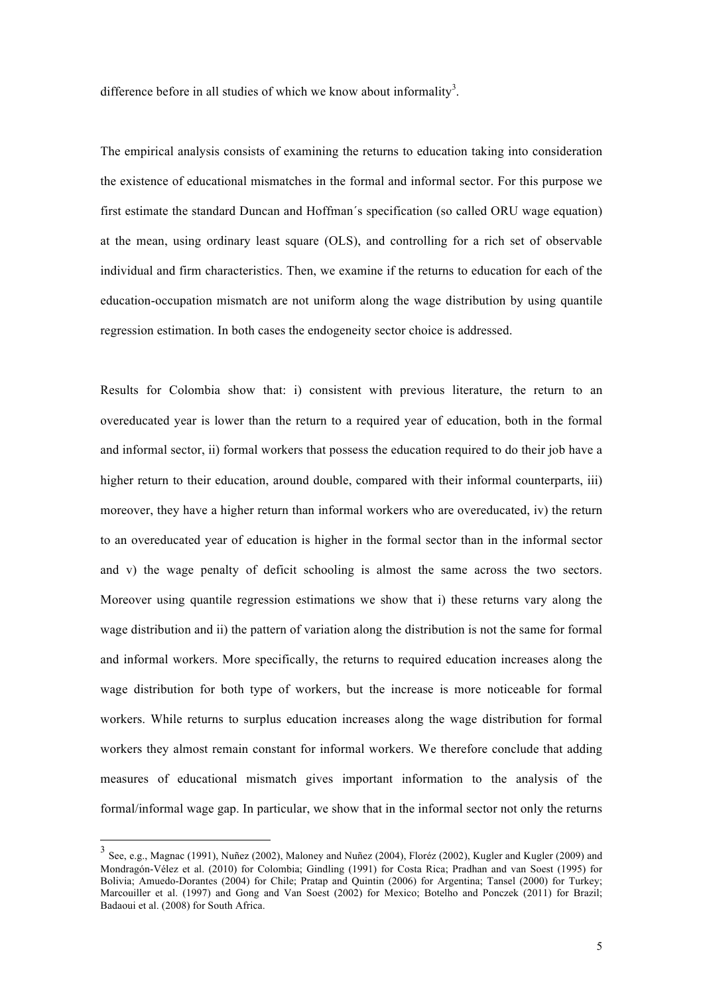difference before in all studies of which we know about informality<sup>3</sup>.

The empirical analysis consists of examining the returns to education taking into consideration the existence of educational mismatches in the formal and informal sector. For this purpose we first estimate the standard Duncan and Hoffman´s specification (so called ORU wage equation) at the mean, using ordinary least square (OLS), and controlling for a rich set of observable individual and firm characteristics. Then, we examine if the returns to education for each of the education-occupation mismatch are not uniform along the wage distribution by using quantile regression estimation. In both cases the endogeneity sector choice is addressed.

Results for Colombia show that: i) consistent with previous literature, the return to an overeducated year is lower than the return to a required year of education, both in the formal and informal sector, ii) formal workers that possess the education required to do their job have a higher return to their education, around double, compared with their informal counterparts, iii) moreover, they have a higher return than informal workers who are overeducated, iv) the return to an overeducated year of education is higher in the formal sector than in the informal sector and v) the wage penalty of deficit schooling is almost the same across the two sectors. Moreover using quantile regression estimations we show that i) these returns vary along the wage distribution and ii) the pattern of variation along the distribution is not the same for formal and informal workers. More specifically, the returns to required education increases along the wage distribution for both type of workers, but the increase is more noticeable for formal workers. While returns to surplus education increases along the wage distribution for formal workers they almost remain constant for informal workers. We therefore conclude that adding measures of educational mismatch gives important information to the analysis of the formal/informal wage gap. In particular, we show that in the informal sector not only the returns

 <sup>3</sup> See, e.g., Magnac (1991), Nuñez (2002), Maloney and Nuñez (2004), Floréz (2002), Kugler and Kugler (2009) and Mondragón-Vélez et al. (2010) for Colombia; Gindling (1991) for Costa Rica; Pradhan and van Soest (1995) for Bolivia; Amuedo-Dorantes (2004) for Chile; Pratap and Quintin (2006) for Argentina; Tansel (2000) for Turkey; Marcouiller et al. (1997) and Gong and Van Soest (2002) for Mexico; Botelho and Ponczek (2011) for Brazil; Badaoui et al. (2008) for South Africa.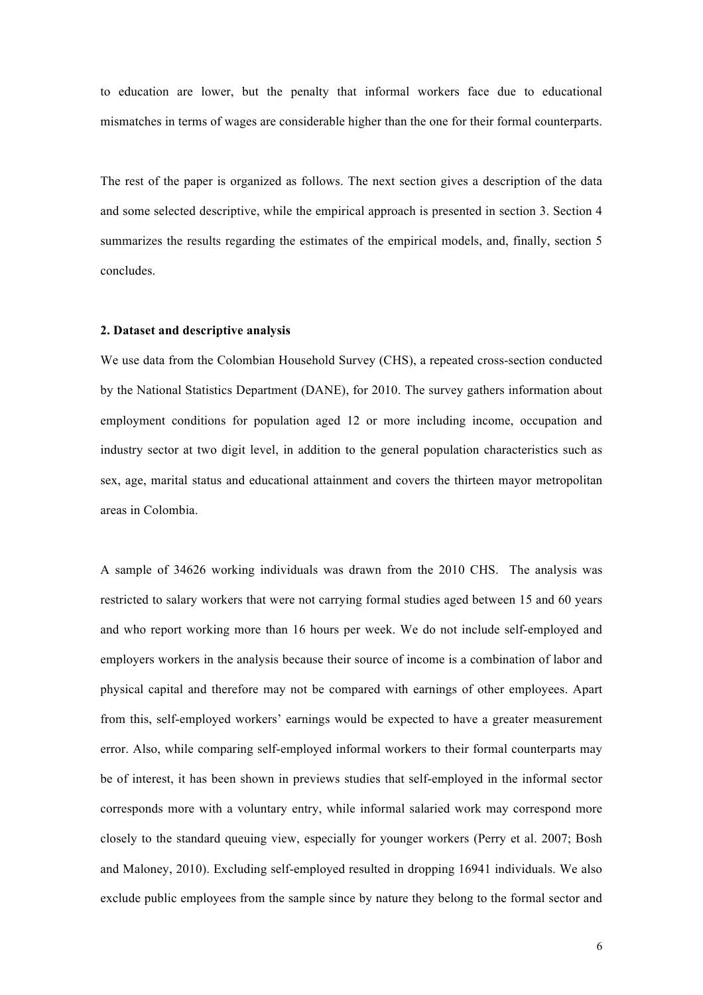to education are lower, but the penalty that informal workers face due to educational mismatches in terms of wages are considerable higher than the one for their formal counterparts.

The rest of the paper is organized as follows. The next section gives a description of the data and some selected descriptive, while the empirical approach is presented in section 3. Section 4 summarizes the results regarding the estimates of the empirical models, and, finally, section 5 concludes.

## **2. Dataset and descriptive analysis**

We use data from the Colombian Household Survey (CHS), a repeated cross-section conducted by the National Statistics Department (DANE), for 2010. The survey gathers information about employment conditions for population aged 12 or more including income, occupation and industry sector at two digit level, in addition to the general population characteristics such as sex, age, marital status and educational attainment and covers the thirteen mayor metropolitan areas in Colombia.

A sample of 34626 working individuals was drawn from the 2010 CHS. The analysis was restricted to salary workers that were not carrying formal studies aged between 15 and 60 years and who report working more than 16 hours per week. We do not include self-employed and employers workers in the analysis because their source of income is a combination of labor and physical capital and therefore may not be compared with earnings of other employees. Apart from this, self-employed workers' earnings would be expected to have a greater measurement error. Also, while comparing self-employed informal workers to their formal counterparts may be of interest, it has been shown in previews studies that self-employed in the informal sector corresponds more with a voluntary entry, while informal salaried work may correspond more closely to the standard queuing view, especially for younger workers (Perry et al. 2007; Bosh and Maloney, 2010). Excluding self-employed resulted in dropping 16941 individuals. We also exclude public employees from the sample since by nature they belong to the formal sector and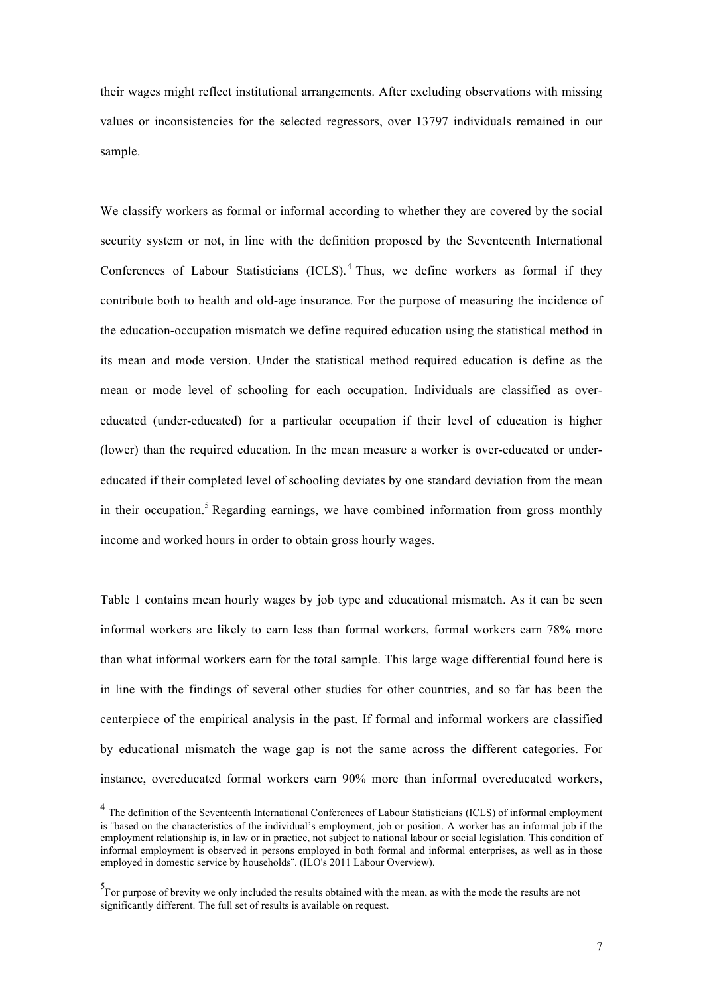their wages might reflect institutional arrangements. After excluding observations with missing values or inconsistencies for the selected regressors, over 13797 individuals remained in our sample.

We classify workers as formal or informal according to whether they are covered by the social security system or not, in line with the definition proposed by the Seventeenth International Conferences of Labour Statisticians  $(ICLS)$ .<sup>4</sup> Thus, we define workers as formal if they contribute both to health and old-age insurance. For the purpose of measuring the incidence of the education-occupation mismatch we define required education using the statistical method in its mean and mode version. Under the statistical method required education is define as the mean or mode level of schooling for each occupation. Individuals are classified as overeducated (under-educated) for a particular occupation if their level of education is higher (lower) than the required education. In the mean measure a worker is over-educated or undereducated if their completed level of schooling deviates by one standard deviation from the mean in their occupation.<sup>5</sup> Regarding earnings, we have combined information from gross monthly income and worked hours in order to obtain gross hourly wages.

Table 1 contains mean hourly wages by job type and educational mismatch. As it can be seen informal workers are likely to earn less than formal workers, formal workers earn 78% more than what informal workers earn for the total sample. This large wage differential found here is in line with the findings of several other studies for other countries, and so far has been the centerpiece of the empirical analysis in the past. If formal and informal workers are classified by educational mismatch the wage gap is not the same across the different categories. For instance, overeducated formal workers earn 90% more than informal overeducated workers,

 <sup>4</sup> The definition of the Seventeenth International Conferences of Labour Statisticians (ICLS) of informal employment is "based on the characteristics of the individual's employment, job or position. A worker has an informal job if the employment relationship is, in law or in practice, not subject to national labour or social legislation. This condition of informal employment is observed in persons employed in both formal and informal enterprises, as well as in those employed in domestic service by households¨. (ILO's 2011 Labour Overview).

<sup>&</sup>lt;sup>5</sup>For purpose of brevity we only included the results obtained with the mean, as with the mode the results are not significantly different. The full set of results is available on request.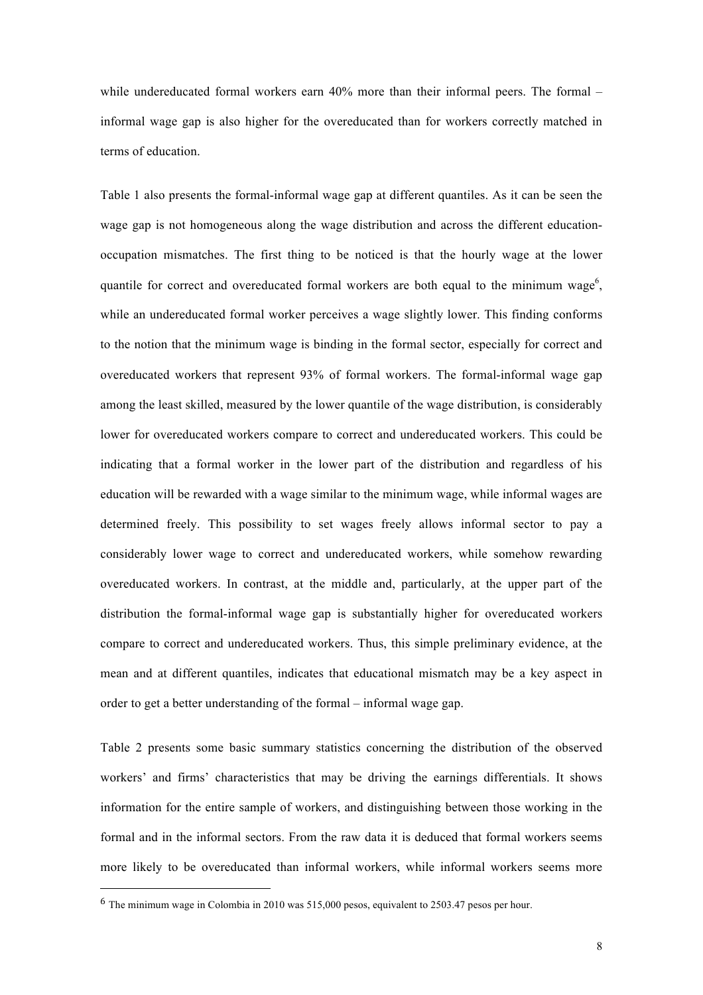while undereducated formal workers earn 40% more than their informal peers. The formal – informal wage gap is also higher for the overeducated than for workers correctly matched in terms of education.

Table 1 also presents the formal-informal wage gap at different quantiles. As it can be seen the wage gap is not homogeneous along the wage distribution and across the different educationoccupation mismatches. The first thing to be noticed is that the hourly wage at the lower quantile for correct and overeducated formal workers are both equal to the minimum wage<sup>6</sup>, while an undereducated formal worker perceives a wage slightly lower. This finding conforms to the notion that the minimum wage is binding in the formal sector, especially for correct and overeducated workers that represent 93% of formal workers. The formal-informal wage gap among the least skilled, measured by the lower quantile of the wage distribution, is considerably lower for overeducated workers compare to correct and undereducated workers. This could be indicating that a formal worker in the lower part of the distribution and regardless of his education will be rewarded with a wage similar to the minimum wage, while informal wages are determined freely. This possibility to set wages freely allows informal sector to pay a considerably lower wage to correct and undereducated workers, while somehow rewarding overeducated workers. In contrast, at the middle and, particularly, at the upper part of the distribution the formal-informal wage gap is substantially higher for overeducated workers compare to correct and undereducated workers. Thus, this simple preliminary evidence, at the mean and at different quantiles, indicates that educational mismatch may be a key aspect in order to get a better understanding of the formal – informal wage gap.

Table 2 presents some basic summary statistics concerning the distribution of the observed workers' and firms' characteristics that may be driving the earnings differentials. It shows information for the entire sample of workers, and distinguishing between those working in the formal and in the informal sectors. From the raw data it is deduced that formal workers seems more likely to be overeducated than informal workers, while informal workers seems more

 

<sup>6</sup> The minimum wage in Colombia in 2010 was 515,000 pesos, equivalent to 2503.47 pesos per hour.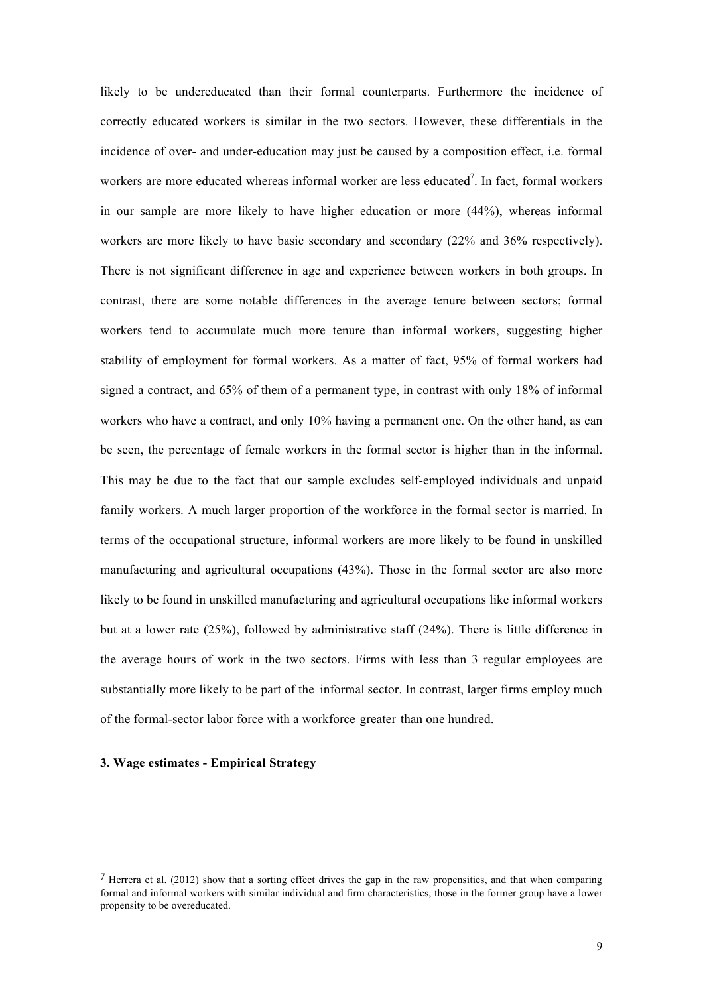likely to be undereducated than their formal counterparts. Furthermore the incidence of correctly educated workers is similar in the two sectors. However, these differentials in the incidence of over- and under-education may just be caused by a composition effect, i.e. formal workers are more educated whereas informal worker are less educated<sup>7</sup>. In fact, formal workers in our sample are more likely to have higher education or more (44%), whereas informal workers are more likely to have basic secondary and secondary (22% and 36% respectively). There is not significant difference in age and experience between workers in both groups. In contrast, there are some notable differences in the average tenure between sectors; formal workers tend to accumulate much more tenure than informal workers, suggesting higher stability of employment for formal workers. As a matter of fact, 95% of formal workers had signed a contract, and 65% of them of a permanent type, in contrast with only 18% of informal workers who have a contract, and only 10% having a permanent one. On the other hand, as can be seen, the percentage of female workers in the formal sector is higher than in the informal. This may be due to the fact that our sample excludes self-employed individuals and unpaid family workers. A much larger proportion of the workforce in the formal sector is married. In terms of the occupational structure, informal workers are more likely to be found in unskilled manufacturing and agricultural occupations (43%). Those in the formal sector are also more likely to be found in unskilled manufacturing and agricultural occupations like informal workers but at a lower rate (25%), followed by administrative staff (24%). There is little difference in the average hours of work in the two sectors. Firms with less than 3 regular employees are substantially more likely to be part of the informal sector. In contrast, larger firms employ much of the formal-sector labor force with a workforce greater than one hundred.

# **3. Wage estimates - Empirical Strategy**

 

<sup>7</sup> Herrera et al. (2012) show that a sorting effect drives the gap in the raw propensities, and that when comparing formal and informal workers with similar individual and firm characteristics, those in the former group have a lower propensity to be overeducated.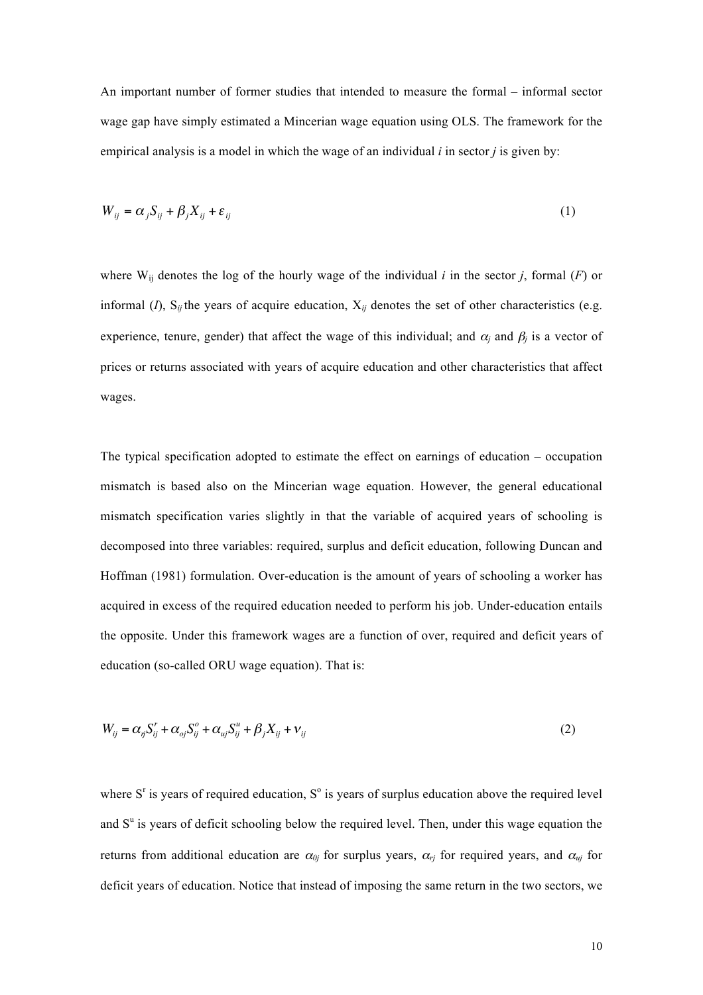An important number of former studies that intended to measure the formal – informal sector wage gap have simply estimated a Mincerian wage equation using OLS. The framework for the empirical analysis is a model in which the wage of an individual *i* in sector *j* is given by:

$$
W_{ij} = \alpha_j S_{ij} + \beta_j X_{ij} + \varepsilon_{ij}
$$
 (1)

where  $W_{ij}$  denotes the log of the hourly wage of the individual *i* in the sector *j*, formal (*F*) or informal  $(I)$ ,  $S_{ij}$  the years of acquire education,  $X_{ij}$  denotes the set of other characteristics (e.g. experience, tenure, gender) that affect the wage of this individual; and  $\alpha_i$  and  $\beta_i$  is a vector of prices or returns associated with years of acquire education and other characteristics that affect wages.

The typical specification adopted to estimate the effect on earnings of education – occupation mismatch is based also on the Mincerian wage equation. However, the general educational mismatch specification varies slightly in that the variable of acquired years of schooling is decomposed into three variables: required, surplus and deficit education, following Duncan and Hoffman (1981) formulation. Over-education is the amount of years of schooling a worker has acquired in excess of the required education needed to perform his job. Under-education entails the opposite. Under this framework wages are a function of over, required and deficit years of education (so-called ORU wage equation). That is:

$$
W_{ij} = \alpha_{ij} S_{ij}^r + \alpha_{oj} S_{ij}^o + \alpha_{uj} S_{ij}^u + \beta_j X_{ij} + \nu_{ij}
$$
\n<sup>(2)</sup>

where  $S<sup>r</sup>$  is years of required education,  $S<sup>o</sup>$  is years of surplus education above the required level and  $S<sup>u</sup>$  is years of deficit schooling below the required level. Then, under this wage equation the returns from additional education are  $\alpha_{0j}$  for surplus years,  $\alpha_{rj}$  for required years, and  $\alpha_{ui}$  for deficit years of education. Notice that instead of imposing the same return in the two sectors, we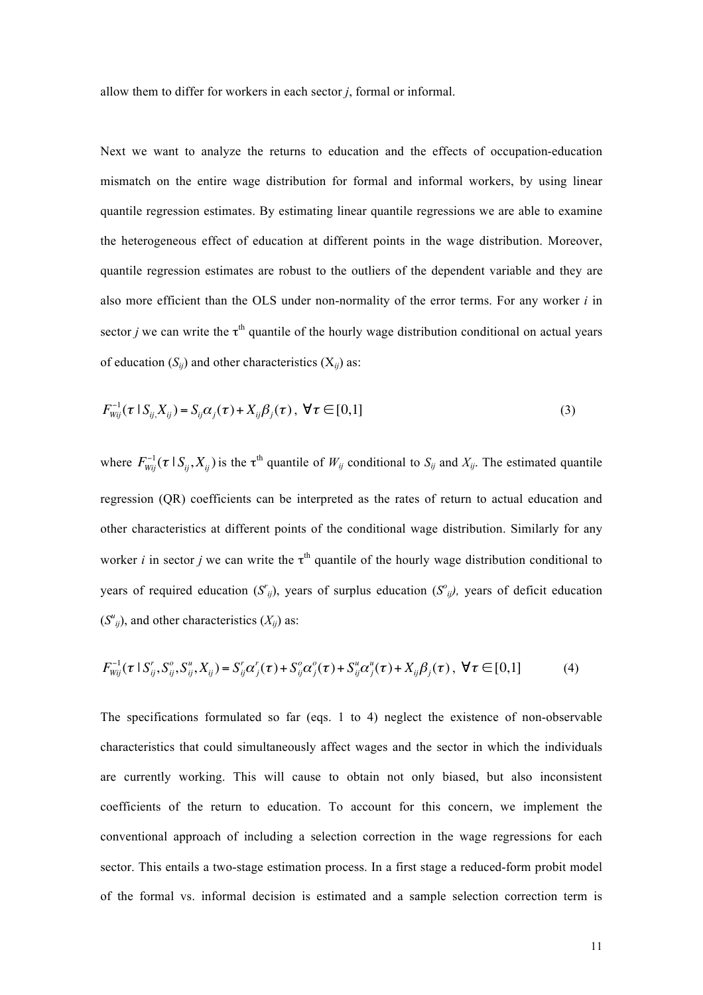allow them to differ for workers in each sector *j*, formal or informal.

Next we want to analyze the returns to education and the effects of occupation-education mismatch on the entire wage distribution for formal and informal workers, by using linear quantile regression estimates. By estimating linear quantile regressions we are able to examine the heterogeneous effect of education at different points in the wage distribution. Moreover, quantile regression estimates are robust to the outliers of the dependent variable and they are also more efficient than the OLS under non-normality of the error terms. For any worker *i* in sector *j* we can write the  $\tau^{th}$  quantile of the hourly wage distribution conditional on actual years of education  $(S_{ii})$  and other characteristics  $(X_{ii})$  as:

$$
F_{Wij}^{-1}(\tau \mid S_{ij} X_{ij}) = S_{ij} \alpha_j(\tau) + X_{ij} \beta_j(\tau), \ \forall \tau \in [0,1]
$$
 (3)

where  $F_{wij}^{-1}(\tau | S_{ij}, X_{ij})$  is the  $\tau^{th}$  quantile of  $W_{ij}$  conditional to  $S_{ij}$  and  $X_{ij}$ . The estimated quantile regression (QR) coefficients can be interpreted as the rates of return to actual education and other characteristics at different points of the conditional wage distribution. Similarly for any worker *i* in sector *j* we can write the  $\tau^{th}$  quantile of the hourly wage distribution conditional to years of required education  $(S_{ij}^r)$ , years of surplus education  $(S_{ij}^o)$ , years of deficit education  $(S^u_{ij})$ , and other characteristics  $(X_{ij})$  as:

$$
F_{wij}^{-1}(\tau \mid S_{ij}^r, S_{ij}^o, S_{ij}^u, X_{ij}) = S_{ij}^r \alpha_j^r(\tau) + S_{ij}^o \alpha_j^o(\tau) + S_{ij}^u \alpha_j^u(\tau) + X_{ij} \beta_j(\tau), \ \forall \tau \in [0,1]
$$
 (4)

The specifications formulated so far (eqs. 1 to 4) neglect the existence of non-observable characteristics that could simultaneously affect wages and the sector in which the individuals are currently working. This will cause to obtain not only biased, but also inconsistent coefficients of the return to education. To account for this concern, we implement the conventional approach of including a selection correction in the wage regressions for each sector. This entails a two-stage estimation process. In a first stage a reduced-form probit model of the formal vs. informal decision is estimated and a sample selection correction term is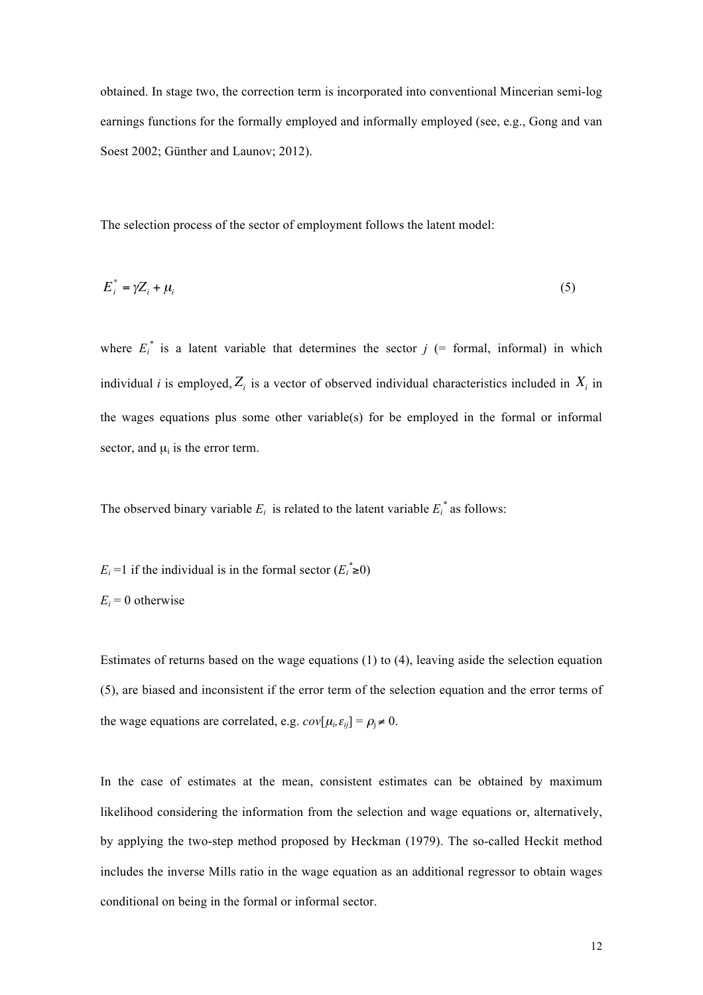obtained. In stage two, the correction term is incorporated into conventional Mincerian semi-log earnings functions for the formally employed and informally employed (see, e.g., Gong and van Soest 2002; Günther and Launov; 2012).

The selection process of the sector of employment follows the latent model:

$$
E_i^* = \gamma Z_i + \mu_i \tag{5}
$$

where  $E_i^*$  is a latent variable that determines the sector  $j$  (= formal, informal) in which individual *i* is employed,  $Z_i$  is a vector of observed individual characteristics included in  $X_i$  in the wages equations plus some other variable(s) for be employed in the formal or informal sector, and  $\mu_i$  is the error term.

The observed binary variable  $E_i$  is related to the latent variable  $E_i^*$  as follows:

- *E<sub>i</sub>* =1 if the individual is in the formal sector  $(E_i^* \ge 0)$
- $E_i = 0$  otherwise

Estimates of returns based on the wage equations (1) to (4), leaving aside the selection equation (5), are biased and inconsistent if the error term of the selection equation and the error terms of the wage equations are correlated, e.g.  $cov[\mu_i, \varepsilon_{ij}] = \rho_j \neq 0$ .

In the case of estimates at the mean, consistent estimates can be obtained by maximum likelihood considering the information from the selection and wage equations or, alternatively, by applying the two-step method proposed by Heckman (1979). The so-called Heckit method includes the inverse Mills ratio in the wage equation as an additional regressor to obtain wages conditional on being in the formal or informal sector.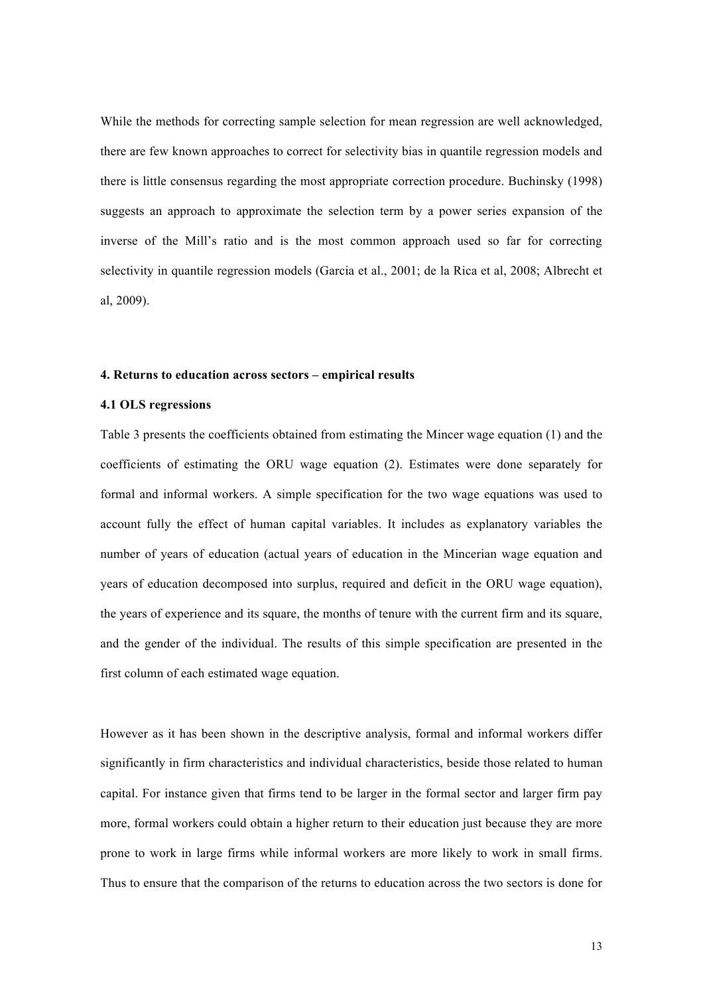While the methods for correcting sample selection for mean regression are well acknowledged, there are few known approaches to correct for selectivity bias in quantile regression models and there is little consensus regarding the most appropriate correction procedure. Buchinsky (1998) suggests an approach to approximate the selection term by a power series expansion of the inverse of the Mill's ratio and is the most common approach used so far for correcting selectivity in quantile regression models (Garcia et al., 2001; de la Rica et al, 2008; Albrecht et al, 2009).

### **4. Returns to education across sectors – empirical results**

#### **4.1 OLS regressions**

Table 3 presents the coefficients obtained from estimating the Mincer wage equation (1) and the coefficients of estimating the ORU wage equation (2). Estimates were done separately for formal and informal workers. A simple specification for the two wage equations was used to account fully the effect of human capital variables. It includes as explanatory variables the number of years of education (actual years of education in the Mincerian wage equation and years of education decomposed into surplus, required and deficit in the ORU wage equation), the years of experience and its square, the months of tenure with the current firm and its square, and the gender of the individual. The results of this simple specification are presented in the first column of each estimated wage equation.

However as it has been shown in the descriptive analysis, formal and informal workers differ significantly in firm characteristics and individual characteristics, beside those related to human capital. For instance given that firms tend to be larger in the formal sector and larger firm pay more, formal workers could obtain a higher return to their education just because they are more prone to work in large firms while informal workers are more likely to work in small firms. Thus to ensure that the comparison of the returns to education across the two sectors is done for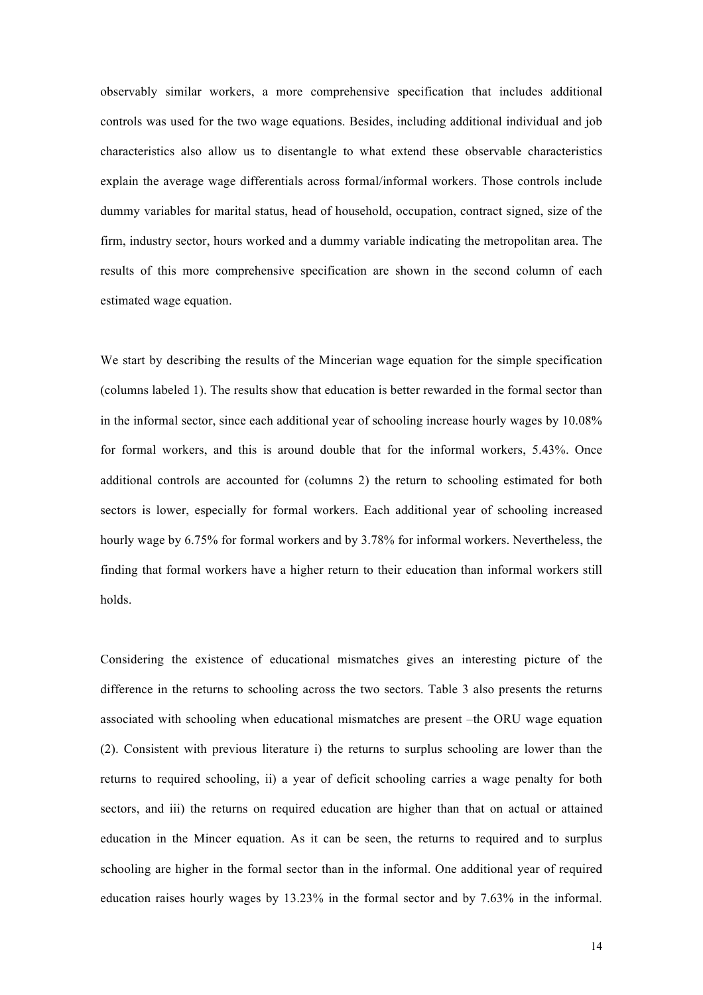observably similar workers, a more comprehensive specification that includes additional controls was used for the two wage equations. Besides, including additional individual and job characteristics also allow us to disentangle to what extend these observable characteristics explain the average wage differentials across formal/informal workers. Those controls include dummy variables for marital status, head of household, occupation, contract signed, size of the firm, industry sector, hours worked and a dummy variable indicating the metropolitan area. The results of this more comprehensive specification are shown in the second column of each estimated wage equation.

We start by describing the results of the Mincerian wage equation for the simple specification (columns labeled 1). The results show that education is better rewarded in the formal sector than in the informal sector, since each additional year of schooling increase hourly wages by 10.08% for formal workers, and this is around double that for the informal workers, 5.43%. Once additional controls are accounted for (columns 2) the return to schooling estimated for both sectors is lower, especially for formal workers. Each additional year of schooling increased hourly wage by 6.75% for formal workers and by 3.78% for informal workers. Nevertheless, the finding that formal workers have a higher return to their education than informal workers still holds.

Considering the existence of educational mismatches gives an interesting picture of the difference in the returns to schooling across the two sectors. Table 3 also presents the returns associated with schooling when educational mismatches are present –the ORU wage equation (2). Consistent with previous literature i) the returns to surplus schooling are lower than the returns to required schooling, ii) a year of deficit schooling carries a wage penalty for both sectors, and iii) the returns on required education are higher than that on actual or attained education in the Mincer equation. As it can be seen, the returns to required and to surplus schooling are higher in the formal sector than in the informal. One additional year of required education raises hourly wages by 13.23% in the formal sector and by 7.63% in the informal.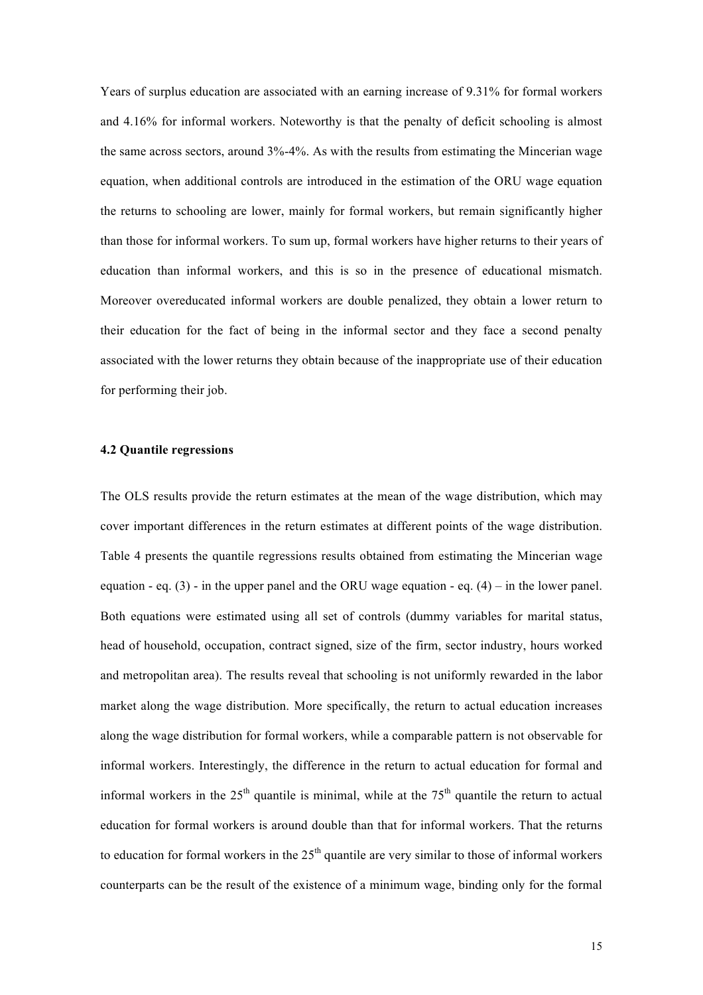Years of surplus education are associated with an earning increase of 9.31% for formal workers and 4.16% for informal workers. Noteworthy is that the penalty of deficit schooling is almost the same across sectors, around 3%-4%. As with the results from estimating the Mincerian wage equation, when additional controls are introduced in the estimation of the ORU wage equation the returns to schooling are lower, mainly for formal workers, but remain significantly higher than those for informal workers. To sum up, formal workers have higher returns to their years of education than informal workers, and this is so in the presence of educational mismatch. Moreover overeducated informal workers are double penalized, they obtain a lower return to their education for the fact of being in the informal sector and they face a second penalty associated with the lower returns they obtain because of the inappropriate use of their education for performing their job.

## **4.2 Quantile regressions**

The OLS results provide the return estimates at the mean of the wage distribution, which may cover important differences in the return estimates at different points of the wage distribution. Table 4 presents the quantile regressions results obtained from estimating the Mincerian wage equation - eq.  $(3)$  - in the upper panel and the ORU wage equation - eq.  $(4)$  – in the lower panel. Both equations were estimated using all set of controls (dummy variables for marital status, head of household, occupation, contract signed, size of the firm, sector industry, hours worked and metropolitan area). The results reveal that schooling is not uniformly rewarded in the labor market along the wage distribution. More specifically, the return to actual education increases along the wage distribution for formal workers, while a comparable pattern is not observable for informal workers. Interestingly, the difference in the return to actual education for formal and informal workers in the  $25<sup>th</sup>$  quantile is minimal, while at the  $75<sup>th</sup>$  quantile the return to actual education for formal workers is around double than that for informal workers. That the returns to education for formal workers in the  $25<sup>th</sup>$  quantile are very similar to those of informal workers counterparts can be the result of the existence of a minimum wage, binding only for the formal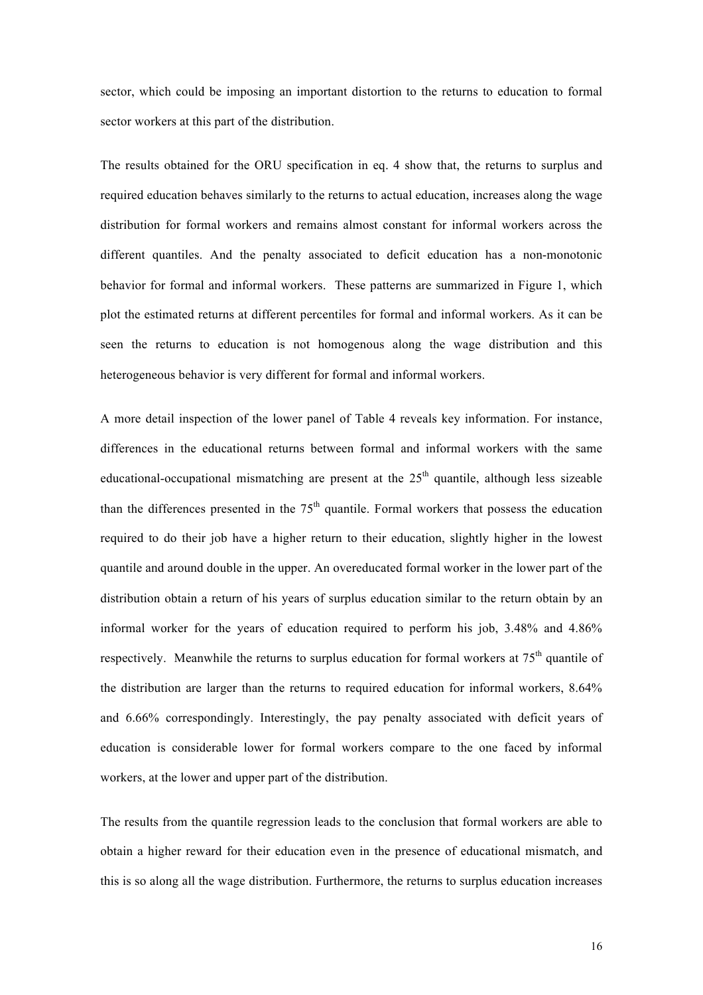sector, which could be imposing an important distortion to the returns to education to formal sector workers at this part of the distribution.

The results obtained for the ORU specification in eq. 4 show that, the returns to surplus and required education behaves similarly to the returns to actual education, increases along the wage distribution for formal workers and remains almost constant for informal workers across the different quantiles. And the penalty associated to deficit education has a non-monotonic behavior for formal and informal workers. These patterns are summarized in Figure 1, which plot the estimated returns at different percentiles for formal and informal workers. As it can be seen the returns to education is not homogenous along the wage distribution and this heterogeneous behavior is very different for formal and informal workers.

A more detail inspection of the lower panel of Table 4 reveals key information. For instance, differences in the educational returns between formal and informal workers with the same educational-occupational mismatching are present at the  $25<sup>th</sup>$  quantile, although less sizeable than the differences presented in the  $75<sup>th</sup>$  quantile. Formal workers that possess the education required to do their job have a higher return to their education, slightly higher in the lowest quantile and around double in the upper. An overeducated formal worker in the lower part of the distribution obtain a return of his years of surplus education similar to the return obtain by an informal worker for the years of education required to perform his job, 3.48% and 4.86% respectively. Meanwhile the returns to surplus education for formal workers at  $75<sup>th</sup>$  quantile of the distribution are larger than the returns to required education for informal workers, 8.64% and 6.66% correspondingly. Interestingly, the pay penalty associated with deficit years of education is considerable lower for formal workers compare to the one faced by informal workers, at the lower and upper part of the distribution.

The results from the quantile regression leads to the conclusion that formal workers are able to obtain a higher reward for their education even in the presence of educational mismatch, and this is so along all the wage distribution. Furthermore, the returns to surplus education increases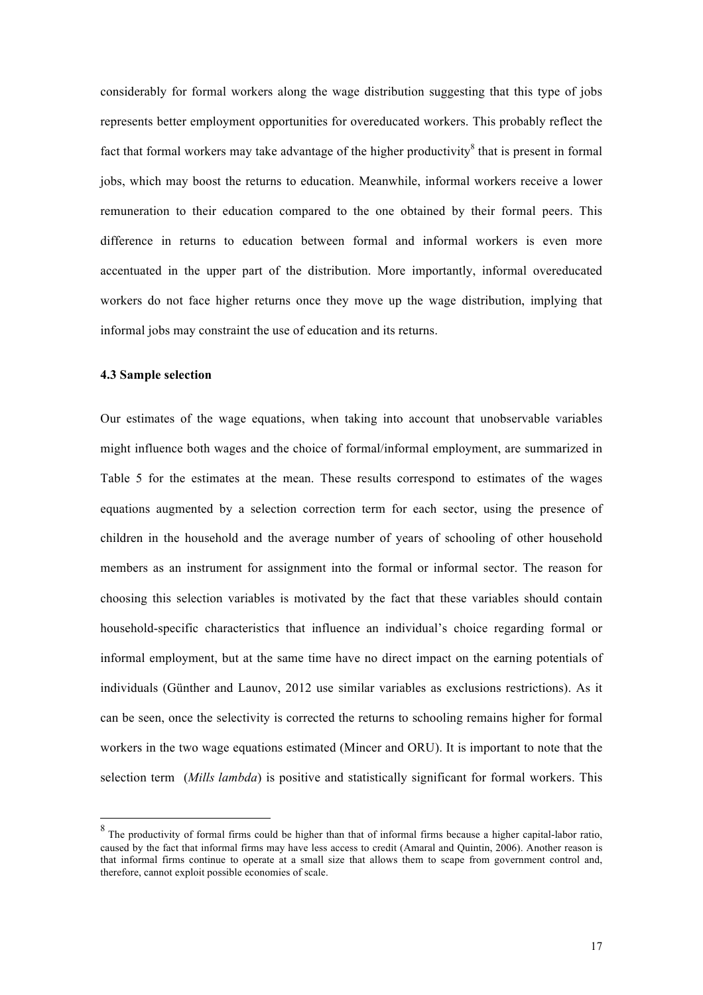considerably for formal workers along the wage distribution suggesting that this type of jobs represents better employment opportunities for overeducated workers. This probably reflect the fact that formal workers may take advantage of the higher productivity  $\delta$  that is present in formal jobs, which may boost the returns to education. Meanwhile, informal workers receive a lower remuneration to their education compared to the one obtained by their formal peers. This difference in returns to education between formal and informal workers is even more accentuated in the upper part of the distribution. More importantly, informal overeducated workers do not face higher returns once they move up the wage distribution, implying that informal jobs may constraint the use of education and its returns.

### **4.3 Sample selection**

Our estimates of the wage equations, when taking into account that unobservable variables might influence both wages and the choice of formal/informal employment, are summarized in Table 5 for the estimates at the mean. These results correspond to estimates of the wages equations augmented by a selection correction term for each sector, using the presence of children in the household and the average number of years of schooling of other household members as an instrument for assignment into the formal or informal sector. The reason for choosing this selection variables is motivated by the fact that these variables should contain household-specific characteristics that influence an individual's choice regarding formal or informal employment, but at the same time have no direct impact on the earning potentials of individuals (Günther and Launov, 2012 use similar variables as exclusions restrictions). As it can be seen, once the selectivity is corrected the returns to schooling remains higher for formal workers in the two wage equations estimated (Mincer and ORU). It is important to note that the selection term (*Mills lambda*) is positive and statistically significant for formal workers. This

 $8$  The productivity of formal firms could be higher than that of informal firms because a higher capital-labor ratio, caused by the fact that informal firms may have less access to credit (Amaral and Quintin, 2006). Another reason is that informal firms continue to operate at a small size that allows them to scape from government control and, therefore, cannot exploit possible economies of scale.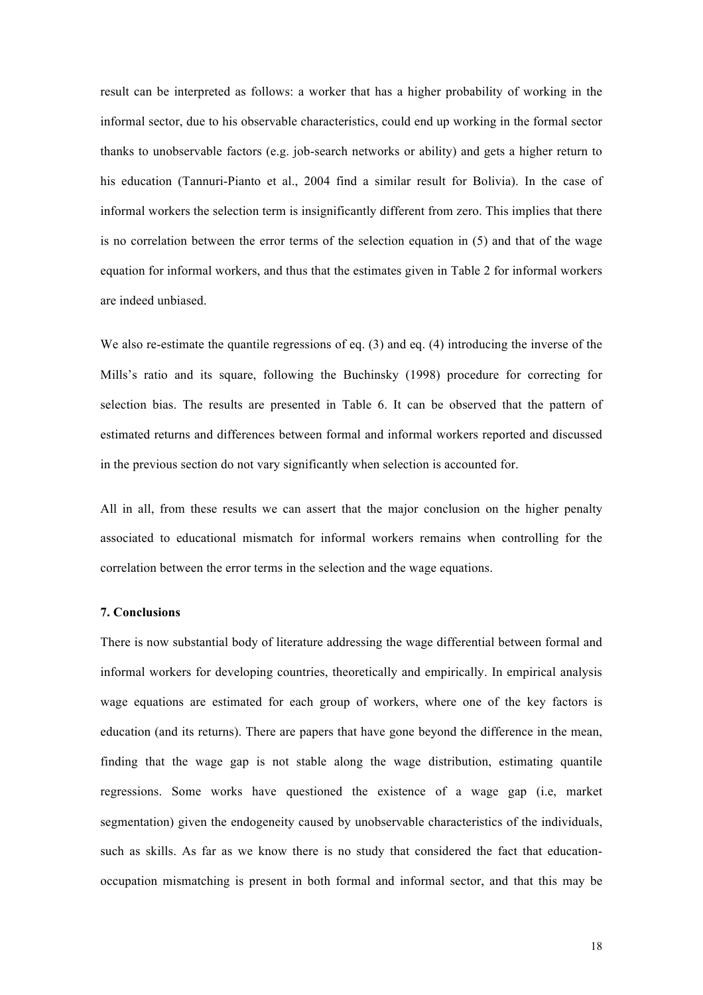result can be interpreted as follows: a worker that has a higher probability of working in the informal sector, due to his observable characteristics, could end up working in the formal sector thanks to unobservable factors (e.g. job-search networks or ability) and gets a higher return to his education (Tannuri-Pianto et al., 2004 find a similar result for Bolivia). In the case of informal workers the selection term is insignificantly different from zero. This implies that there is no correlation between the error terms of the selection equation in (5) and that of the wage equation for informal workers, and thus that the estimates given in Table 2 for informal workers are indeed unbiased.

We also re-estimate the quantile regressions of eq. (3) and eq. (4) introducing the inverse of the Mills's ratio and its square, following the Buchinsky (1998) procedure for correcting for selection bias. The results are presented in Table 6. It can be observed that the pattern of estimated returns and differences between formal and informal workers reported and discussed in the previous section do not vary significantly when selection is accounted for.

All in all, from these results we can assert that the major conclusion on the higher penalty associated to educational mismatch for informal workers remains when controlling for the correlation between the error terms in the selection and the wage equations.

### **7. Conclusions**

There is now substantial body of literature addressing the wage differential between formal and informal workers for developing countries, theoretically and empirically. In empirical analysis wage equations are estimated for each group of workers, where one of the key factors is education (and its returns). There are papers that have gone beyond the difference in the mean, finding that the wage gap is not stable along the wage distribution, estimating quantile regressions. Some works have questioned the existence of a wage gap (i.e, market segmentation) given the endogeneity caused by unobservable characteristics of the individuals, such as skills. As far as we know there is no study that considered the fact that educationoccupation mismatching is present in both formal and informal sector, and that this may be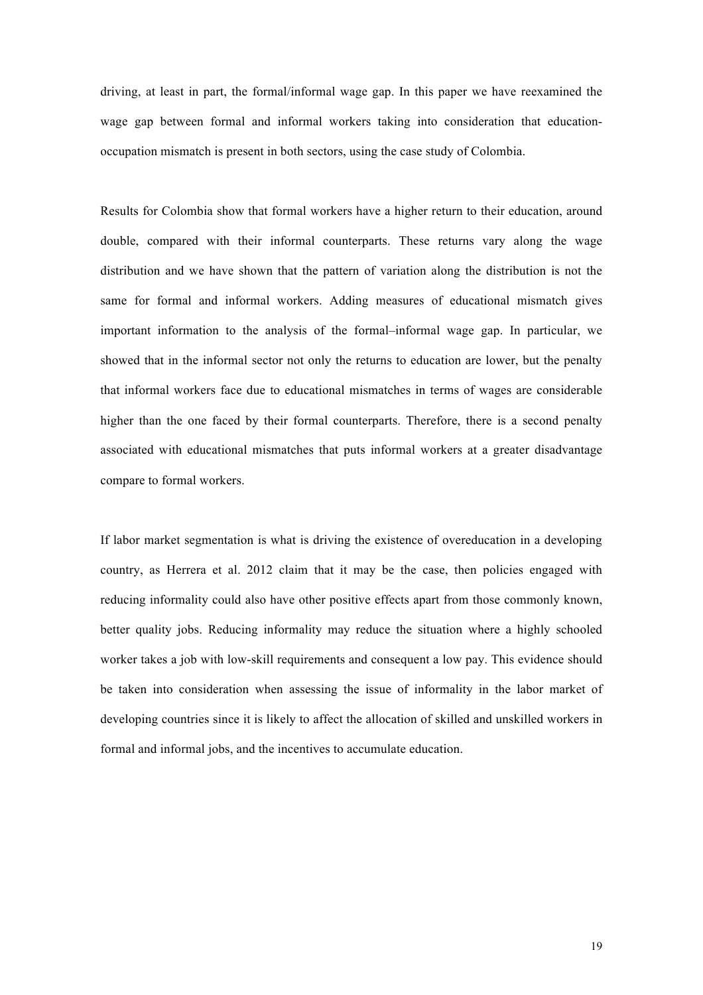driving, at least in part, the formal/informal wage gap. In this paper we have reexamined the wage gap between formal and informal workers taking into consideration that educationoccupation mismatch is present in both sectors, using the case study of Colombia.

Results for Colombia show that formal workers have a higher return to their education, around double, compared with their informal counterparts. These returns vary along the wage distribution and we have shown that the pattern of variation along the distribution is not the same for formal and informal workers. Adding measures of educational mismatch gives important information to the analysis of the formal–informal wage gap. In particular, we showed that in the informal sector not only the returns to education are lower, but the penalty that informal workers face due to educational mismatches in terms of wages are considerable higher than the one faced by their formal counterparts. Therefore, there is a second penalty associated with educational mismatches that puts informal workers at a greater disadvantage compare to formal workers.

If labor market segmentation is what is driving the existence of overeducation in a developing country, as Herrera et al. 2012 claim that it may be the case, then policies engaged with reducing informality could also have other positive effects apart from those commonly known, better quality jobs. Reducing informality may reduce the situation where a highly schooled worker takes a job with low-skill requirements and consequent a low pay. This evidence should be taken into consideration when assessing the issue of informality in the labor market of developing countries since it is likely to affect the allocation of skilled and unskilled workers in formal and informal jobs, and the incentives to accumulate education.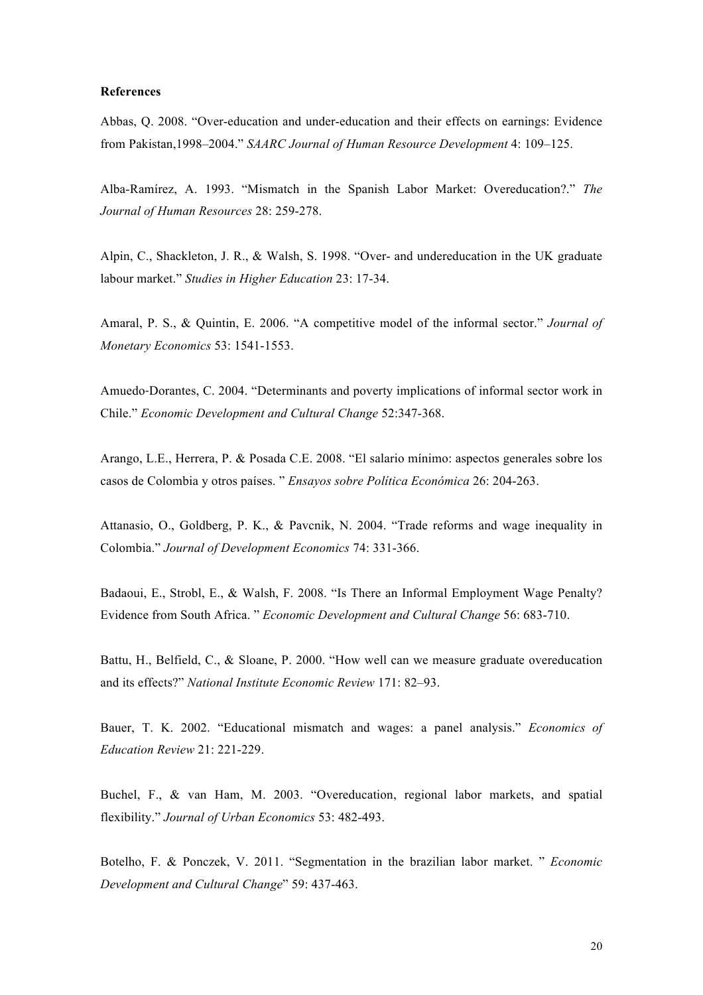## **References**

Abbas, Q. 2008. "Over-education and under-education and their effects on earnings: Evidence from Pakistan,1998–2004." *SAARC Journal of Human Resource Development* 4: 109–125.

Alba-Ramírez, A. 1993. "Mismatch in the Spanish Labor Market: Overeducation?." *The Journal of Human Resources* 28: 259-278.

Alpin, C., Shackleton, J. R., & Walsh, S. 1998. "Over- and undereducation in the UK graduate labour market." *Studies in Higher Education* 23: 17-34.

Amaral, P. S., & Quintin, E. 2006. "A competitive model of the informal sector." *Journal of Monetary Economics* 53: 1541-1553.

Amuedo‐Dorantes, C. 2004. "Determinants and poverty implications of informal sector work in Chile." *Economic Development and Cultural Change* 52:347-368.

Arango, L.E., Herrera, P. & Posada C.E. 2008. "El salario mínimo: aspectos generales sobre los casos de Colombia y otros países. " *Ensayos sobre Política Económica* 26: 204-263.

Attanasio, O., Goldberg, P. K., & Pavcnik, N. 2004. "Trade reforms and wage inequality in Colombia." *Journal of Development Economics* 74: 331-366.

Badaoui, E., Strobl, E., & Walsh, F. 2008. "Is There an Informal Employment Wage Penalty? Evidence from South Africa. " *Economic Development and Cultural Change* 56: 683-710.

Battu, H., Belfield, C., & Sloane, P. 2000. "How well can we measure graduate overeducation and its effects?" *National Institute Economic Review* 171: 82–93.

Bauer, T. K. 2002. "Educational mismatch and wages: a panel analysis." *Economics of Education Review* 21: 221-229.

Buchel, F., & van Ham, M. 2003. "Overeducation, regional labor markets, and spatial flexibility." *Journal of Urban Economics* 53: 482-493.

Botelho, F. & Ponczek, V. 2011. "Segmentation in the brazilian labor market. " *Economic Development and Cultural Change*" 59: 437-463.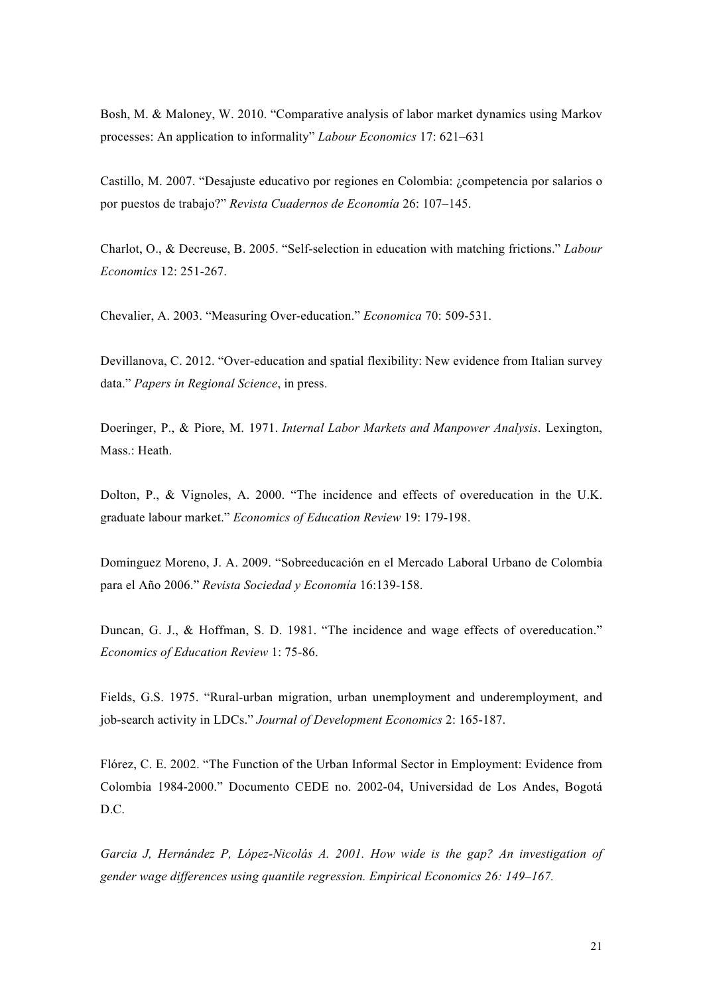Bosh, M. & Maloney, W. 2010. "Comparative analysis of labor market dynamics using Markov processes: An application to informality" *Labour Economics* 17: 621–631

Castillo, M. 2007. "Desajuste educativo por regiones en Colombia: ¿competencia por salarios o por puestos de trabajo?" *Revista Cuadernos de Economía* 26: 107–145.

Charlot, O., & Decreuse, B. 2005. "Self-selection in education with matching frictions." *Labour Economics* 12: 251-267.

Chevalier, A. 2003. "Measuring Over-education." *Economica* 70: 509-531.

Devillanova, C. 2012. "Over-education and spatial flexibility: New evidence from Italian survey data." *Papers in Regional Science*, in press.

Doeringer, P., & Piore, M. 1971. *Internal Labor Markets and Manpower Analysis*. Lexington, Mass.: Heath.

Dolton, P., & Vignoles, A. 2000. "The incidence and effects of overeducation in the U.K. graduate labour market." *Economics of Education Review* 19: 179-198.

Dominguez Moreno, J. A. 2009. "Sobreeducación en el Mercado Laboral Urbano de Colombia para el Año 2006." *Revista Sociedad y Economía* 16:139-158.

Duncan, G. J., & Hoffman, S. D. 1981. "The incidence and wage effects of overeducation." *Economics of Education Review* 1: 75-86.

Fields, G.S. 1975. "Rural-urban migration, urban unemployment and underemployment, and job-search activity in LDCs." *Journal of Development Economics* 2: 165-187.

Flórez, C. E. 2002. "The Function of the Urban Informal Sector in Employment: Evidence from Colombia 1984-2000." Documento CEDE no. 2002-04, Universidad de Los Andes, Bogotá D.C.

*Garcia J, Hernández P, López-Nicolás A. 2001. How wide is the gap? An investigation of gender wage differences using quantile regression. Empirical Economics 26: 149–167.*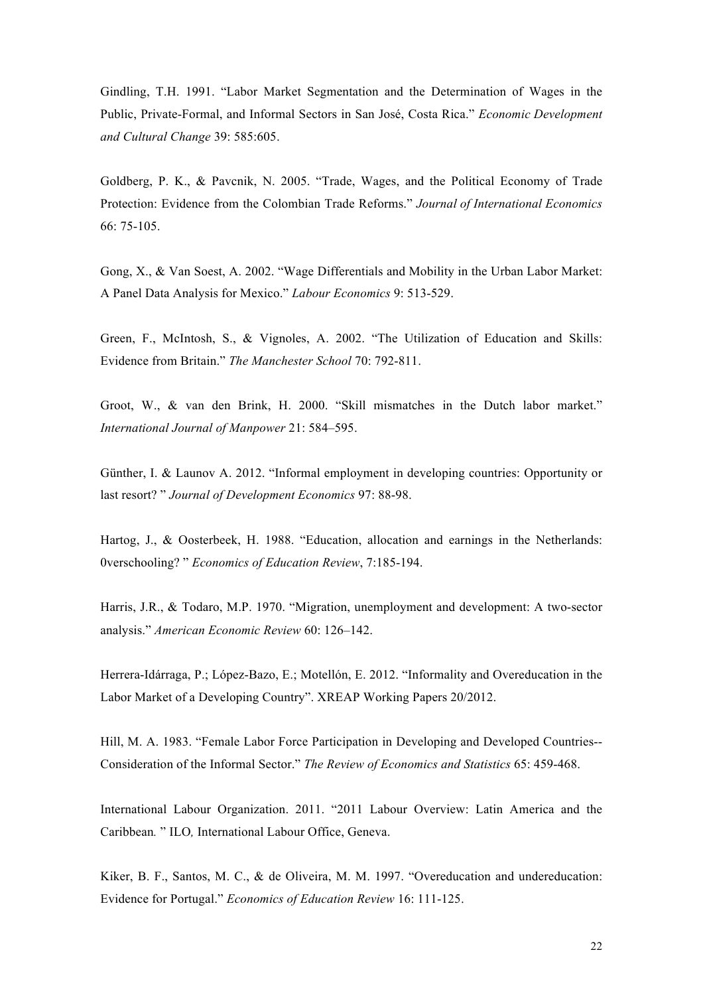Gindling, T.H. 1991. "Labor Market Segmentation and the Determination of Wages in the Public, Private-Formal, and Informal Sectors in San José, Costa Rica." *Economic Development and Cultural Change* 39: 585:605.

Goldberg, P. K., & Pavcnik, N. 2005. "Trade, Wages, and the Political Economy of Trade Protection: Evidence from the Colombian Trade Reforms." *Journal of International Economics* 66: 75-105.

Gong, X., & Van Soest, A. 2002. "Wage Differentials and Mobility in the Urban Labor Market: A Panel Data Analysis for Mexico." *Labour Economics* 9: 513-529.

Green, F., McIntosh, S., & Vignoles, A. 2002. "The Utilization of Education and Skills: Evidence from Britain." *The Manchester School* 70: 792-811.

Groot, W., & van den Brink, H. 2000. "Skill mismatches in the Dutch labor market." *International Journal of Manpower* 21: 584–595.

Günther, I. & Launov A. 2012. "Informal employment in developing countries: Opportunity or last resort? " *Journal of Development Economics* 97: 88-98.

Hartog, J., & Oosterbeek, H. 1988. "Education, allocation and earnings in the Netherlands: 0verschooling? " *Economics of Education Review*, 7:185-194.

Harris, J.R., & Todaro, M.P. 1970. "Migration, unemployment and development: A two-sector analysis." *American Economic Review* 60: 126–142.

Herrera-Idárraga, P.; López-Bazo, E.; Motellón, E. 2012. "Informality and Overeducation in the Labor Market of a Developing Country". XREAP Working Papers 20/2012.

Hill, M. A. 1983. "Female Labor Force Participation in Developing and Developed Countries-- Consideration of the Informal Sector." *The Review of Economics and Statistics* 65: 459-468.

International Labour Organization. 2011. "2011 Labour Overview: Latin America and the Caribbean*.* " ILO*,* International Labour Office, Geneva.

Kiker, B. F., Santos, M. C., & de Oliveira, M. M. 1997. "Overeducation and undereducation: Evidence for Portugal." *Economics of Education Review* 16: 111-125.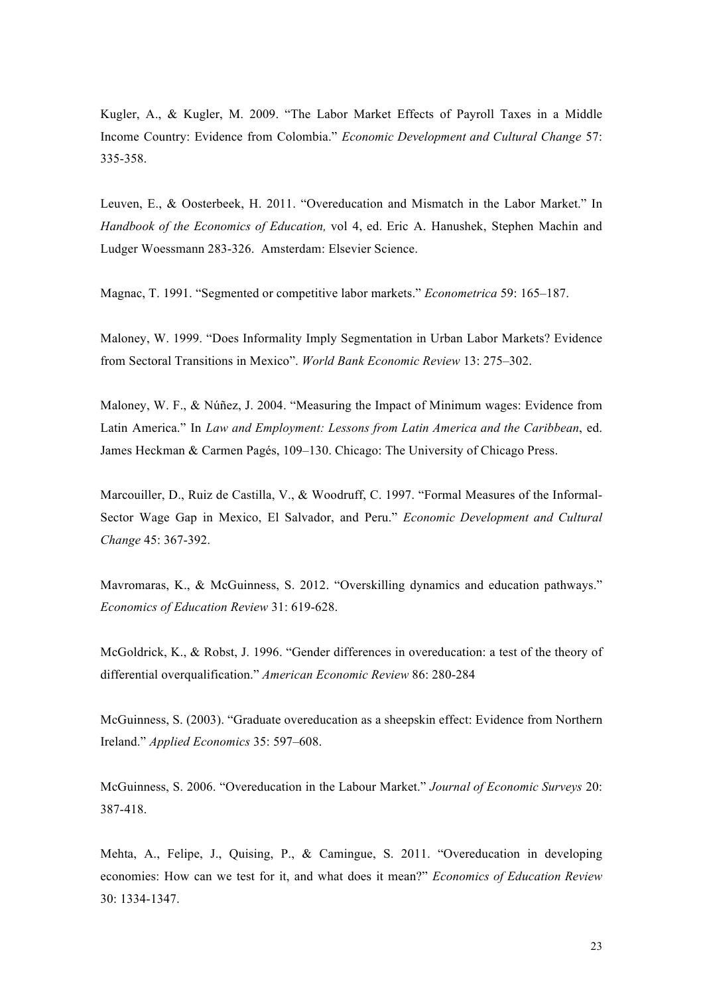Kugler, A., & Kugler, M. 2009. "The Labor Market Effects of Payroll Taxes in a Middle Income Country: Evidence from Colombia." *Economic Development and Cultural Change* 57: 335-358.

Leuven, E., & Oosterbeek, H. 2011. "Overeducation and Mismatch in the Labor Market." In *Handbook of the Economics of Education,* vol 4, ed. Eric A. Hanushek, Stephen Machin and Ludger Woessmann 283-326. Amsterdam: Elsevier Science.

Magnac, T. 1991. "Segmented or competitive labor markets." *Econometrica* 59: 165–187.

Maloney, W. 1999. "Does Informality Imply Segmentation in Urban Labor Markets? Evidence from Sectoral Transitions in Mexico". *World Bank Economic Review* 13: 275–302.

Maloney, W. F., & Núñez, J. 2004. "Measuring the Impact of Minimum wages: Evidence from Latin America." In *Law and Employment: Lessons from Latin America and the Caribbean*, ed. James Heckman & Carmen Pagés, 109–130. Chicago: The University of Chicago Press.

Marcouiller, D., Ruiz de Castilla, V., & Woodruff, C. 1997. "Formal Measures of the Informal-Sector Wage Gap in Mexico, El Salvador, and Peru." *Economic Development and Cultural Change* 45: 367-392.

Mavromaras, K., & McGuinness, S. 2012. "Overskilling dynamics and education pathways." *Economics of Education Review* 31: 619-628.

McGoldrick, K., & Robst, J. 1996. "Gender differences in overeducation: a test of the theory of differential overqualification." *American Economic Review* 86: 280-284

McGuinness, S. (2003). "Graduate overeducation as a sheepskin effect: Evidence from Northern Ireland." *Applied Economics* 35: 597–608.

McGuinness, S. 2006. "Overeducation in the Labour Market." *Journal of Economic Surveys* 20: 387-418.

Mehta, A., Felipe, J., Quising, P., & Camingue, S. 2011. "Overeducation in developing economies: How can we test for it, and what does it mean?" *Economics of Education Review* 30: 1334-1347.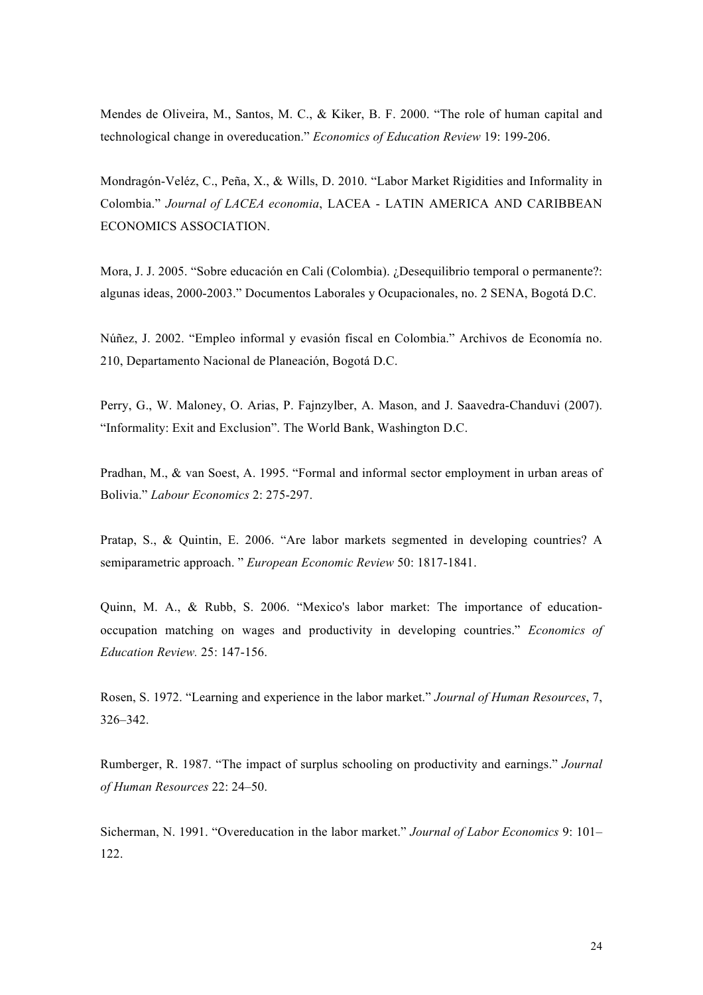Mendes de Oliveira, M., Santos, M. C., & Kiker, B. F. 2000. "The role of human capital and technological change in overeducation." *Economics of Education Review* 19: 199-206.

Mondragón-Veléz, C., Peña, X., & Wills, D. 2010. "Labor Market Rigidities and Informality in Colombia." *Journal of LACEA economia*, LACEA - LATIN AMERICA AND CARIBBEAN ECONOMICS ASSOCIATION.

Mora, J. J. 2005. "Sobre educación en Cali (Colombia). ¿Desequilibrio temporal o permanente?: algunas ideas, 2000-2003." Documentos Laborales y Ocupacionales, no. 2 SENA, Bogotá D.C.

Núñez, J. 2002. "Empleo informal y evasión fiscal en Colombia." Archivos de Economía no. 210, Departamento Nacional de Planeación, Bogotá D.C.

Perry, G., W. Maloney, O. Arias, P. Fajnzylber, A. Mason, and J. Saavedra-Chanduvi (2007). "Informality: Exit and Exclusion". The World Bank, Washington D.C.

Pradhan, M., & van Soest, A. 1995. "Formal and informal sector employment in urban areas of Bolivia." *Labour Economics* 2: 275-297.

Pratap, S., & Quintin, E. 2006. "Are labor markets segmented in developing countries? A semiparametric approach. " *European Economic Review* 50: 1817-1841.

Quinn, M. A., & Rubb, S. 2006. "Mexico's labor market: The importance of educationoccupation matching on wages and productivity in developing countries." *Economics of Education Review.* 25: 147-156.

Rosen, S. 1972. "Learning and experience in the labor market." *Journal of Human Resources*, 7, 326–342.

Rumberger, R. 1987. "The impact of surplus schooling on productivity and earnings." *Journal of Human Resources* 22: 24–50.

Sicherman, N. 1991. "Overeducation in the labor market." *Journal of Labor Economics* 9: 101– 122.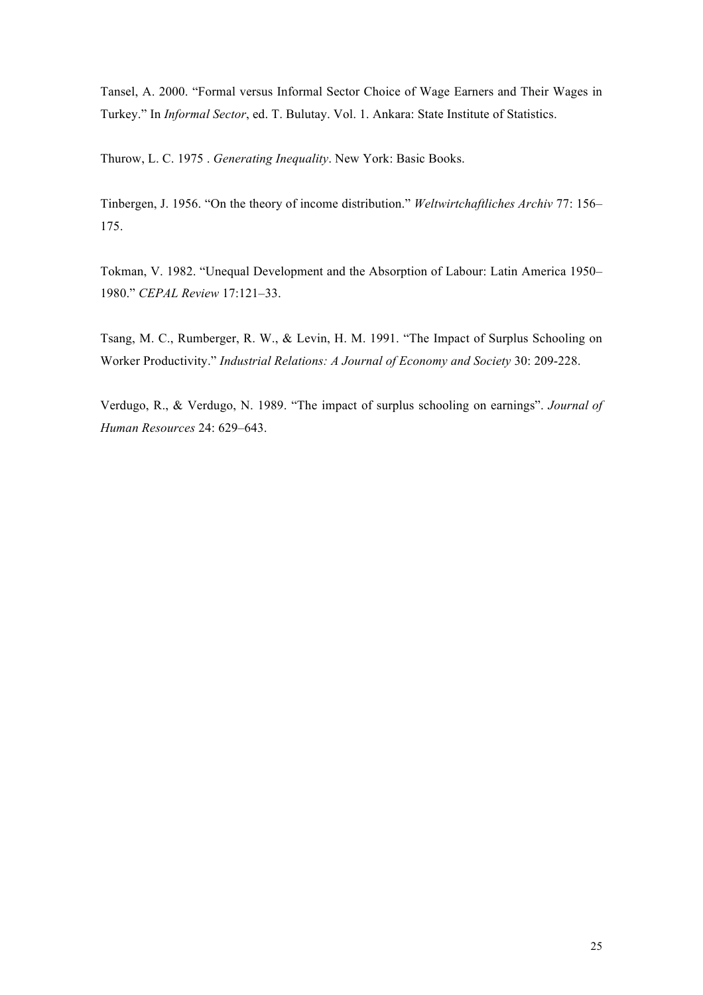Tansel, A. 2000. "Formal versus Informal Sector Choice of Wage Earners and Their Wages in Turkey." In *Informal Sector*, ed. T. Bulutay. Vol. 1. Ankara: State Institute of Statistics.

Thurow, L. C. 1975 . *Generating Inequality*. New York: Basic Books.

Tinbergen, J. 1956. "On the theory of income distribution." *Weltwirtchaftliches Archiv* 77: 156– 175.

Tokman, V. 1982. "Unequal Development and the Absorption of Labour: Latin America 1950– 1980." *CEPAL Review* 17:121–33.

Tsang, M. C., Rumberger, R. W., & Levin, H. M. 1991. "The Impact of Surplus Schooling on Worker Productivity." *Industrial Relations: A Journal of Economy and Society* 30: 209-228.

Verdugo, R., & Verdugo, N. 1989. "The impact of surplus schooling on earnings". *Journal of Human Resources* 24: 629–643.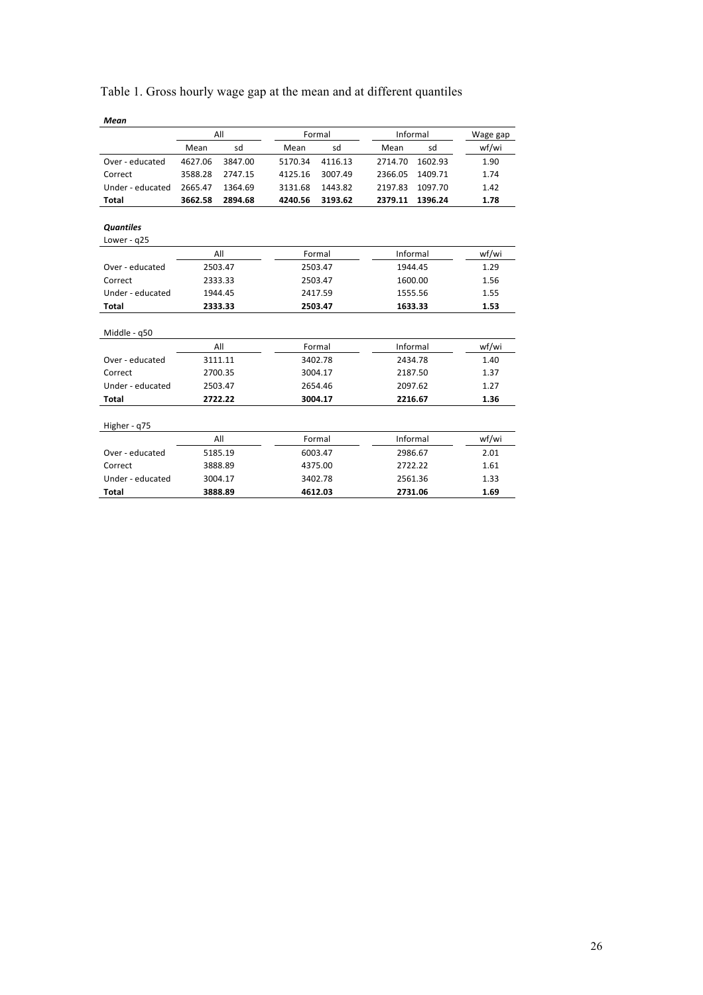| Table 1. Gross hourly wage gap at the mean and at different quantiles |
|-----------------------------------------------------------------------|
|-----------------------------------------------------------------------|

| Mean             |         |         |         |         |         |          |          |
|------------------|---------|---------|---------|---------|---------|----------|----------|
|                  |         | All     |         | Formal  |         | Informal | Wage gap |
|                  | Mean    | sd      | Mean    | sd      | Mean    | sd       | wf/wi    |
| Over - educated  | 4627.06 | 3847.00 | 5170.34 | 4116.13 | 2714.70 | 1602.93  | 1.90     |
| Correct          | 3588.28 | 2747.15 | 4125.16 | 3007.49 | 2366.05 | 1409.71  | 1.74     |
| Under - educated | 2665.47 | 1364.69 | 3131.68 | 1443.82 | 2197.83 | 1097.70  | 1.42     |
| Total            | 3662.58 | 2894.68 | 4240.56 | 3193.62 | 2379.11 | 1396.24  | 1.78     |
|                  |         |         |         |         |         |          |          |
| <b>Quantiles</b> |         |         |         |         |         |          |          |
| Lower - q25      |         |         |         |         |         |          |          |
|                  |         | All     |         | Formal  |         | Informal | wf/wi    |
| Over - educated  |         | 2503.47 |         | 2503.47 |         | 1944.45  |          |
| Correct          | 2333.33 |         | 2503.47 |         | 1600.00 |          | 1.56     |
| Under - educated |         | 1944.45 |         | 2417.59 |         | 1555.56  |          |
| Total            |         | 2333.33 |         | 2503.47 |         | 1633.33  |          |
|                  |         |         |         |         |         |          |          |
| Middle - q50     |         |         |         |         |         |          |          |
|                  |         | All     |         | Formal  |         | Informal | wf/wi    |
| Over - educated  |         | 3111.11 | 3402.78 |         | 2434.78 |          | 1.40     |
| Correct          |         | 2700.35 |         | 3004.17 |         | 2187.50  | 1.37     |
| Under - educated |         | 2503.47 | 2654.46 |         | 2097.62 |          | 1.27     |
| <b>Total</b>     |         | 2722.22 |         | 3004.17 |         | 2216.67  |          |
|                  |         |         |         |         |         |          |          |
| Higher - q75     |         |         |         |         |         |          |          |
|                  |         | All     |         | Formal  |         | Informal | wf/wi    |
| Over - educated  |         | 5185.19 |         | 6003.47 |         | 2986.67  | 2.01     |
| Correct          |         | 3888.89 |         | 4375.00 |         | 2722.22  | 1.61     |
| Under - educated |         | 3004.17 |         | 3402.78 |         | 2561.36  | 1.33     |
| <b>Total</b>     |         | 3888.89 |         | 4612.03 |         | 2731.06  | 1.69     |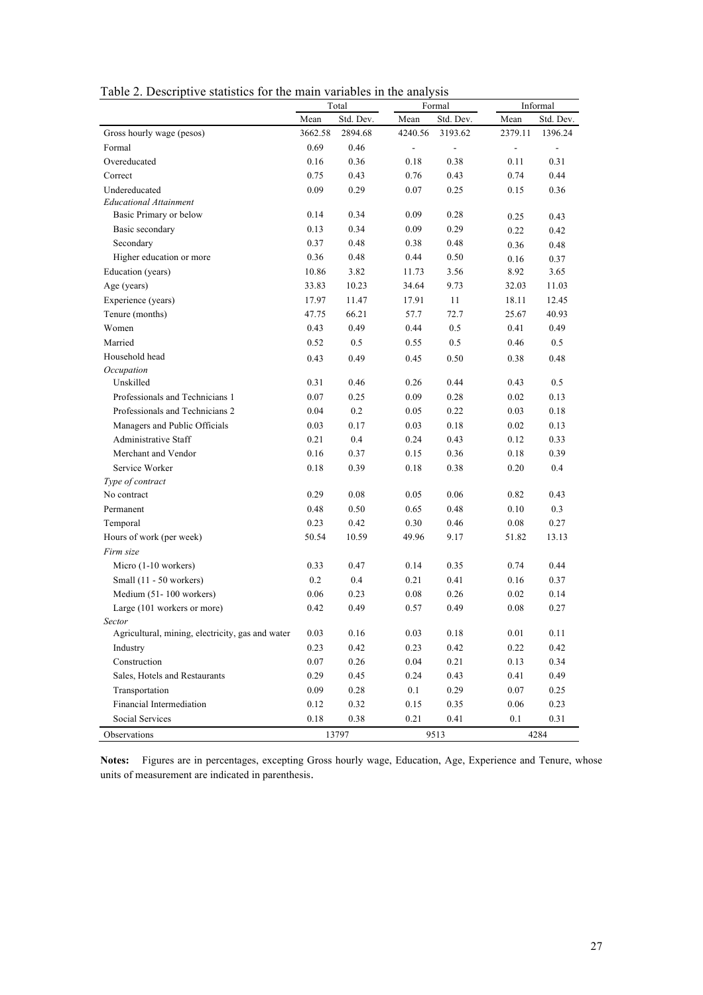|  | Table 2. Descriptive statistics for the main variables in the analysis |  |  |  |
|--|------------------------------------------------------------------------|--|--|--|
|  |                                                                        |  |  |  |

| Table 2. Descriptive statistics for the main variables in the analysis |          | Total     |                | Formal                   | Informal                 |                          |
|------------------------------------------------------------------------|----------|-----------|----------------|--------------------------|--------------------------|--------------------------|
|                                                                        | Mean     | Std. Dev. | Mean           | Std. Dev.                | Mean                     | Std. Dev.                |
| Gross hourly wage (pesos)                                              | 3662.58  | 2894.68   | 4240.56        | 3193.62                  | 2379.11                  | 1396.24                  |
| Formal                                                                 | 0.69     | 0.46      | $\blacksquare$ | $\overline{\phantom{a}}$ | $\overline{\phantom{a}}$ | $\overline{\phantom{a}}$ |
| Overeducated                                                           | 0.16     | 0.36      | 0.18           | 0.38                     | 0.11                     | 0.31                     |
| Correct                                                                | 0.75     | 0.43      | 0.76           | 0.43                     | 0.74                     | 0.44                     |
| Undereducated                                                          | 0.09     | 0.29      | 0.07           | 0.25                     | 0.15                     | 0.36                     |
| <b>Educational Attainment</b>                                          |          |           |                |                          |                          |                          |
| Basic Primary or below                                                 | 0.14     | 0.34      | 0.09           | 0.28                     | 0.25                     | 0.43                     |
| Basic secondary                                                        | 0.13     | 0.34      | 0.09           | 0.29                     | 0.22                     | 0.42                     |
| Secondary                                                              | 0.37     | 0.48      | 0.38           | 0.48                     | 0.36                     | 0.48                     |
| Higher education or more                                               | 0.36     | 0.48      | 0.44           | 0.50                     | 0.16                     | 0.37                     |
| Education (years)                                                      | 10.86    | 3.82      | 11.73          | 3.56                     | 8.92                     | 3.65                     |
| Age (years)                                                            | 33.83    | 10.23     | 34.64          | 9.73                     | 32.03                    | 11.03                    |
| Experience (years)                                                     | 17.97    | 11.47     | 17.91          | 11                       | 18.11                    | 12.45                    |
| Tenure (months)                                                        | 47.75    | 66.21     | 57.7           | 72.7                     | 25.67                    | 40.93                    |
| Women                                                                  | 0.43     | 0.49      | 0.44           | 0.5                      | 0.41                     | 0.49                     |
| Married                                                                | 0.52     | 0.5       | 0.55           | 0.5                      | 0.46                     | 0.5                      |
| Household head                                                         | 0.43     | 0.49      | 0.45           | 0.50                     | 0.38                     | 0.48                     |
| Occupation                                                             |          |           |                |                          |                          |                          |
| Unskilled                                                              | 0.31     | 0.46      | 0.26           | 0.44                     | 0.43                     | 0.5                      |
| Professionals and Technicians 1                                        | $0.07\,$ | 0.25      | 0.09           | 0.28                     | 0.02                     | 0.13                     |
| Professionals and Technicians 2                                        | 0.04     | 0.2       | 0.05           | 0.22                     | 0.03                     | 0.18                     |
| Managers and Public Officials                                          | 0.03     | 0.17      | 0.03           | 0.18                     | 0.02                     | 0.13                     |
| Administrative Staff                                                   | 0.21     | 0.4       | 0.24           | 0.43                     | 0.12                     | 0.33                     |
| Merchant and Vendor                                                    | 0.16     | 0.37      | 0.15           | 0.36                     | 0.18                     | 0.39                     |
| Service Worker                                                         | 0.18     | 0.39      | 0.18           | 0.38                     | 0.20                     | 0.4                      |
| Type of contract                                                       |          |           |                |                          |                          |                          |
| No contract                                                            | 0.29     | 0.08      | 0.05           | 0.06                     | 0.82                     | 0.43                     |
| Permanent                                                              | 0.48     | 0.50      | 0.65           | 0.48                     | 0.10                     | 0.3                      |
| Temporal                                                               | 0.23     | 0.42      | 0.30           | 0.46                     | 0.08                     | 0.27                     |
| Hours of work (per week)                                               | 50.54    | 10.59     | 49.96          | 9.17                     | 51.82                    | 13.13                    |
| Firm size                                                              |          |           |                |                          |                          |                          |
| Micro (1-10 workers)                                                   | 0.33     | 0.47      | 0.14           | 0.35                     | 0.74                     | 0.44                     |
| Small (11 - 50 workers)                                                | $0.2\,$  | 0.4       | 0.21           | 0.41                     | 0.16                     | 0.37                     |
| Medium (51-100 workers)                                                | 0.06     | 0.23      | 0.08           | 0.26                     | 0.02                     | 0.14                     |
| Large (101 workers or more)                                            | 0.42     | 0.49      | 0.57           | 0.49                     | 0.08                     | 0.27                     |
| Sector                                                                 |          |           |                |                          |                          |                          |
| Agricultural, mining, electricity, gas and water                       | 0.03     | 0.16      | 0.03           | $0.18\,$                 | 0.01                     | 0.11                     |
| Industry                                                               | 0.23     | 0.42      | 0.23           | 0.42                     | 0.22                     | 0.42                     |
| Construction                                                           | 0.07     | 0.26      | 0.04           | 0.21                     | 0.13                     | 0.34                     |
| Sales, Hotels and Restaurants                                          | 0.29     | 0.45      | 0.24           | 0.43                     | 0.41                     | 0.49                     |
| Transportation                                                         | 0.09     | 0.28      | 0.1            | 0.29                     | 0.07                     | 0.25                     |
| Financial Intermediation                                               | 0.12     | 0.32      | 0.15           | 0.35                     | 0.06                     | 0.23                     |
| Social Services                                                        | $0.18\,$ | 0.38      | 0.21           | 0.41                     | 0.1                      | 0.31                     |
| Observations                                                           |          | 13797     |                | 9513                     |                          | 4284                     |

**Notes:** Figures are in percentages, excepting Gross hourly wage, Education, Age, Experience and Tenure, whose units of measurement are indicated in parenthesis.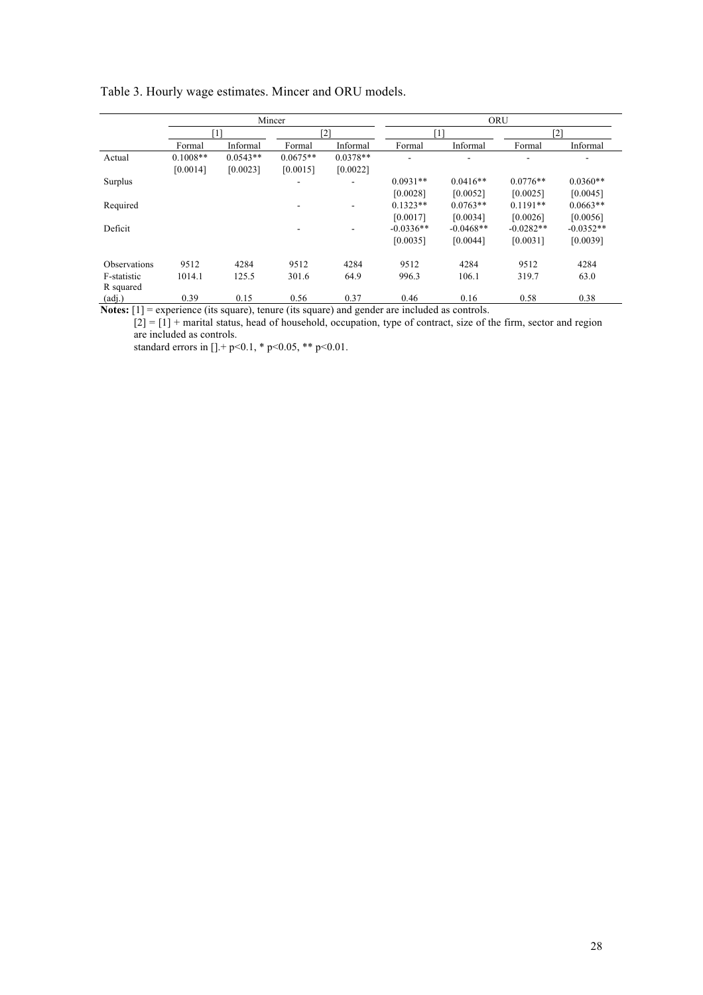|              |            |            | Mincer     |                          | ORU         |             |             |             |  |
|--------------|------------|------------|------------|--------------------------|-------------|-------------|-------------|-------------|--|
|              |            | [1]        |            | [2]                      |             | [1]         |             | [2]         |  |
|              | Formal     | Informal   | Formal     | Informal                 | Formal      | Informal    | Formal      | Informal    |  |
| Actual       | $0.1008**$ | $0.0543**$ | $0.0675**$ | $0.0378**$               | ۰           |             | ۰           |             |  |
|              | [0.0014]   | [0.0023]   | [0.0015]   | [0.0022]                 |             |             |             |             |  |
| Surplus      |            |            | ۰          | $\overline{\phantom{a}}$ | $0.0931**$  | $0.0416**$  | $0.0776**$  | $0.0360**$  |  |
|              |            |            |            |                          | [0.0028]    | [0.0052]    | [0.0025]    | [0.0045]    |  |
| Required     |            |            | ۰          | $\overline{\phantom{a}}$ | $0.1323**$  | $0.0763**$  | $0.1191**$  | $0.0663**$  |  |
|              |            |            |            |                          | [0.0017]    | [0.0034]    | [0.0026]    | [0.0056]    |  |
| Deficit      |            |            | ۰          | ۰                        | $-0.0336**$ | $-0.0468**$ | $-0.0282**$ | $-0.0352**$ |  |
|              |            |            |            |                          | [0.0035]    | [0.0044]    | [0.0031]    | [0.0039]    |  |
| Observations | 9512       | 4284       | 9512       | 4284                     | 9512        | 4284        | 9512        | 4284        |  |
| F-statistic  | 1014.1     | 125.5      | 301.6      | 64.9                     | 996.3       | 106.1       | 319.7       | 63.0        |  |
| R squared    |            |            |            |                          |             |             |             |             |  |
| (adj.)       | 0.39       | 0.15       | 0.56       | 0.37                     | 0.46        | 0.16        | 0.58        | 0.38        |  |

Table 3. Hourly wage estimates. Mincer and ORU models.

**Notes:** [1] = experience (its square), tenure (its square) and gender are included as controls.

 $[2] = [1] +$  marital status, head of household, occupation, type of contract, size of the firm, sector and region are included as controls.

standard errors in  $[$ ].+ p<0.1, \* p<0.05, \*\* p<0.01.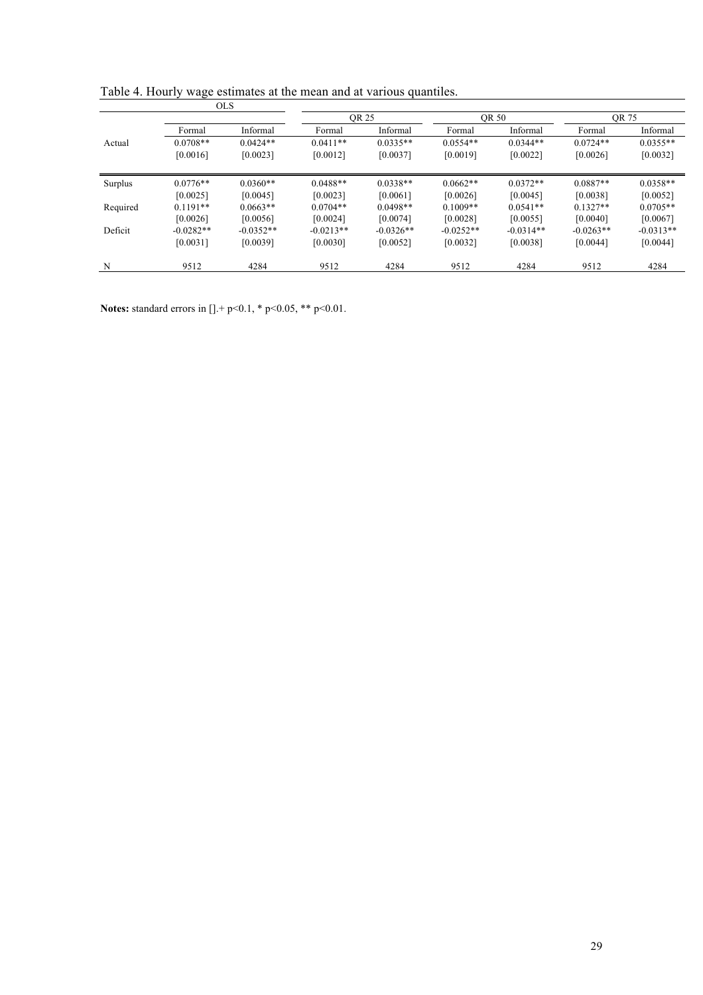|          |             | <b>OLS</b>  |             |             |             |             |             |             |
|----------|-------------|-------------|-------------|-------------|-------------|-------------|-------------|-------------|
|          |             |             |             | OR 25       |             | OR 50       |             | OR 75       |
|          | Formal      | Informal    | Formal      | Informal    | Formal      | Informal    | Formal      | Informal    |
| Actual   | $0.0708**$  | $0.0424**$  | $0.0411**$  | $0.0335**$  | $0.0554**$  | $0.0344**$  | $0.0724**$  | $0.0355**$  |
|          | [0.0016]    | [0.0023]    | [0.0012]    | [0.0037]    | [0.0019]    | [0.0022]    | [0.0026]    | [0.0032]    |
| Surplus  | $0.0776**$  | $0.0360**$  | $0.0488**$  | $0.0338**$  | $0.0662**$  | $0.0372**$  | $0.0887**$  | $0.0358**$  |
|          | [0.0025]    | [0.0045]    | [0.0023]    | [0.0061]    | [0.0026]    | [0.0045]    | [0.0038]    | [0.0052]    |
| Required | $0.1191**$  | $0.0663**$  | $0.0704**$  | $0.0498**$  | $0.1009**$  | $0.0541**$  | $0.1327**$  | $0.0705**$  |
|          | [0.0026]    | [0.0056]    | [0.0024]    | [0.0074]    | [0.0028]    | [0.0055]    | [0.0040]    | [0.0067]    |
| Deficit  | $-0.0282**$ | $-0.0352**$ | $-0.0213**$ | $-0.0326**$ | $-0.0252**$ | $-0.0314**$ | $-0.0263**$ | $-0.0313**$ |
|          | [0.0031]    | [0.0039]    | [0.0030]    | [0.0052]    | [0.0032]    | [0.0038]    | [0.0044]    | [0.0044]    |
| N        | 9512        | 4284        | 9512        | 4284        | 9512        | 4284        | 9512        | 4284        |

Table 4. Hourly wage estimates at the mean and at various quantiles.

**Notes:** standard errors in [].+ p<0.1, \* p<0.05, \*\* p<0.01.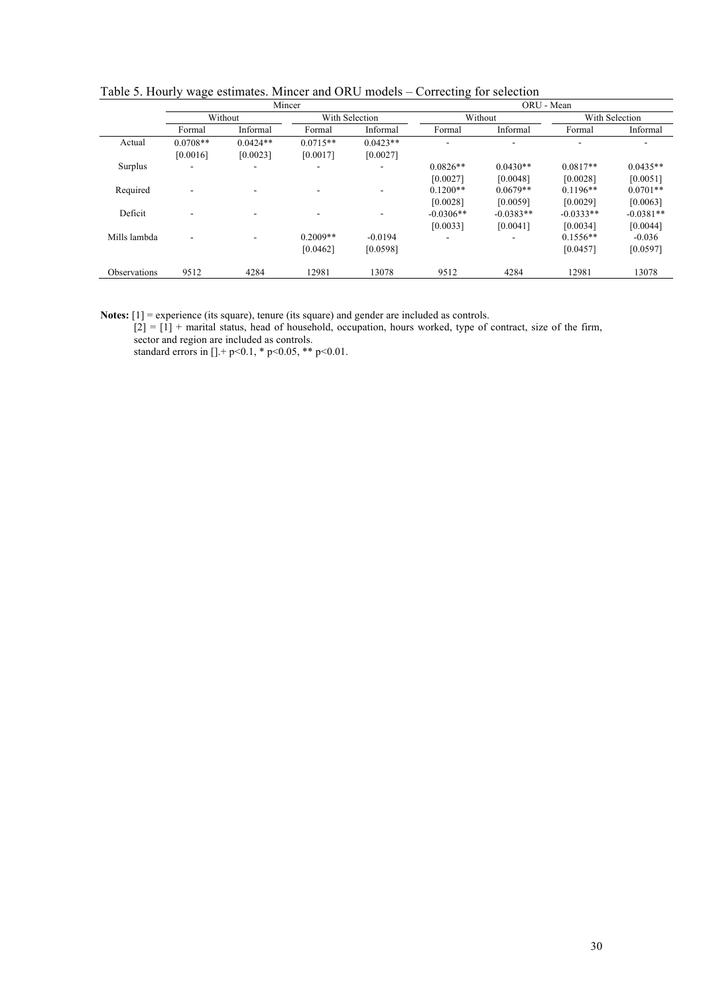|                     |            |            | Mincer         |            | ORU - Mean  |             |                |             |  |
|---------------------|------------|------------|----------------|------------|-------------|-------------|----------------|-------------|--|
|                     | Without    |            | With Selection |            | Without     |             | With Selection |             |  |
|                     | Formal     | Informal   | Formal         | Informal   | Formal      | Informal    | Formal         | Informal    |  |
| Actual              | $0.0708**$ | $0.0424**$ | $0.0715**$     | $0.0423**$ | -           |             |                |             |  |
|                     | [0.0016]   | [0.0023]   | [0.0017]       | [0.0027]   |             |             |                |             |  |
| Surplus             |            |            |                |            | $0.0826**$  | $0.0430**$  | $0.0817**$     | $0.0435**$  |  |
|                     |            |            |                |            | [0.0027]    | [0.0048]    | [0.0028]       | [0.0051]    |  |
| Required            |            |            |                |            | $0.1200**$  | $0.0679**$  | $0.1196**$     | $0.0701**$  |  |
|                     |            |            |                |            | [0.0028]    | [0.0059]    | [0.0029]       | [0.0063]    |  |
| Deficit             |            |            |                |            | $-0.0306**$ | $-0.0383**$ | $-0.0333**$    | $-0.0381**$ |  |
|                     |            |            |                |            | [0.0033]    | [0.0041]    | [0.0034]       | [0.0044]    |  |
| Mills lambda        |            |            | $0.2009**$     | $-0.0194$  |             |             | $0.1556**$     | $-0.036$    |  |
|                     |            |            | [0.0462]       | [0.0598]   |             |             | [0.0457]       | [0.0597]    |  |
| <b>Observations</b> | 9512       | 4284       | 12981          | 13078      | 9512        | 4284        | 12981          | 13078       |  |

Table 5. Hourly wage estimates. Mincer and ORU models – Correcting for selection

**Notes:** [1] = experience (its square), tenure (its square) and gender are included as controls.

 $[2] = [1] +$  marital status, head of household, occupation, hours worked, type of contract, size of the firm, sector and region are included as controls.

standard errors in []. + p<0.1, \* p<0.05, \*\* p<0.01.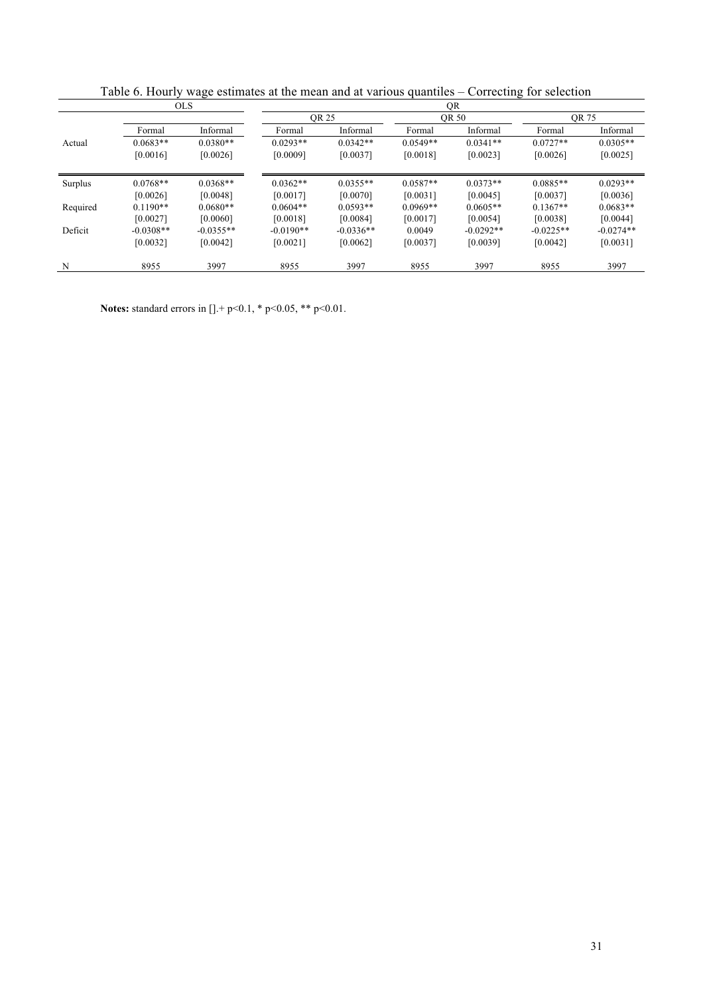| <b>OLS</b> |             |             | QR          |             |            |             |             |             |  |  |
|------------|-------------|-------------|-------------|-------------|------------|-------------|-------------|-------------|--|--|
|            |             |             | OR 25       | OR 50       |            | OR 75       |             |             |  |  |
|            | Formal      | Informal    | Formal      | Informal    | Formal     | Informal    | Formal      | Informal    |  |  |
| Actual     | $0.0683**$  | $0.0380**$  | $0.0293**$  | $0.0342**$  | $0.0549**$ | $0.0341**$  | $0.0727**$  | $0.0305**$  |  |  |
|            | [0.0016]    | [0.0026]    | [0.0009]    | [0.0037]    | [0.0018]   | [0.0023]    | [0.0026]    | [0.0025]    |  |  |
| Surplus    | $0.0768**$  | $0.0368**$  | $0.0362**$  | $0.0355**$  | $0.0587**$ | $0.0373**$  | $0.0885**$  | $0.0293**$  |  |  |
|            | [0.0026]    | [0.0048]    | [0.0017]    | [0.0070]    | [0.0031]   | [0.0045]    | [0.0037]    | [0.0036]    |  |  |
| Required   | $0.1190**$  | $0.0680**$  | $0.0604**$  | $0.0593**$  | $0.0969**$ | $0.0605**$  | $0.1367**$  | $0.0683**$  |  |  |
|            | [0.0027]    | [0.0060]    | [0.0018]    | [0.0084]    | [0.0017]   | [0.0054]    | [0.0038]    | [0.0044]    |  |  |
| Deficit    | $-0.0308**$ | $-0.0355**$ | $-0.0190**$ | $-0.0336**$ | 0.0049     | $-0.0292**$ | $-0.0225**$ | $-0.0274**$ |  |  |
|            | [0.0032]    | [0.0042]    | [0.0021]    | [0.0062]    | [0.0037]   | [0.0039]    | [0.0042]    | [0.0031]    |  |  |
| N          | 8955        | 3997        | 8955        | 3997        | 8955       | 3997        | 8955        | 3997        |  |  |

Table 6. Hourly wage estimates at the mean and at various quantiles – Correcting for selection

**Notes:** standard errors in [].+ p<0.1, \* p<0.05, \*\* p<0.01.